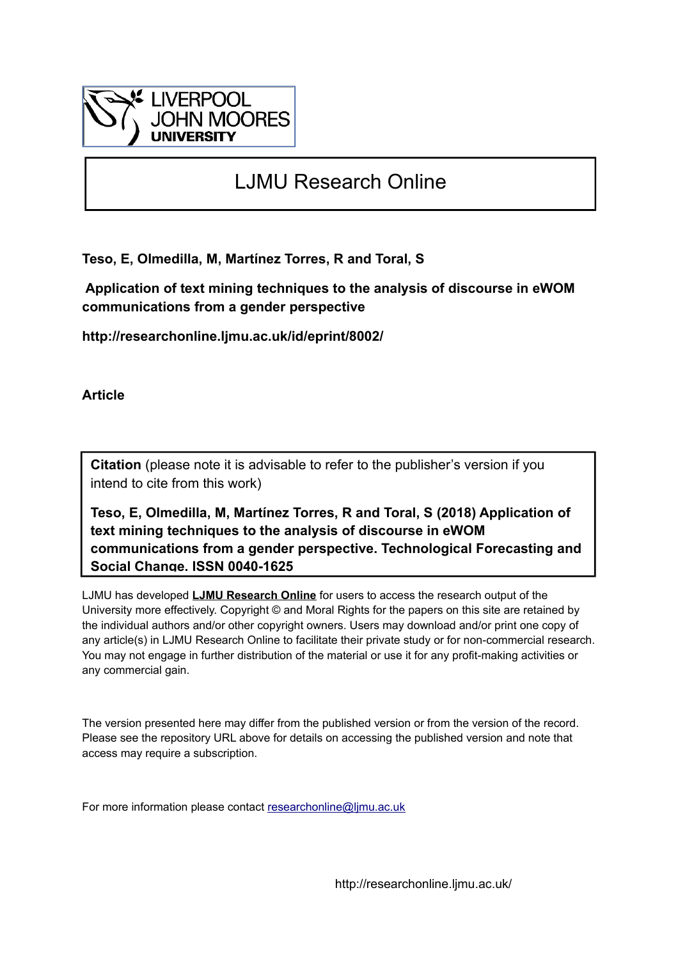

# LJMU Research Online

**Teso, E, Olmedilla, M, Martínez Torres, R and Toral, S**

 **Application of text mining techniques to the analysis of discourse in eWOM communications from a gender perspective**

**http://researchonline.ljmu.ac.uk/id/eprint/8002/**

**Article**

**Citation** (please note it is advisable to refer to the publisher's version if you intend to cite from this work)

**Teso, E, Olmedilla, M, Martínez Torres, R and Toral, S (2018) Application of text mining techniques to the analysis of discourse in eWOM communications from a gender perspective. Technological Forecasting and Social Change. ISSN 0040-1625** 

LJMU has developed **[LJMU Research Online](http://researchonline.ljmu.ac.uk/)** for users to access the research output of the University more effectively. Copyright © and Moral Rights for the papers on this site are retained by the individual authors and/or other copyright owners. Users may download and/or print one copy of any article(s) in LJMU Research Online to facilitate their private study or for non-commercial research. You may not engage in further distribution of the material or use it for any profit-making activities or any commercial gain.

The version presented here may differ from the published version or from the version of the record. Please see the repository URL above for details on accessing the published version and note that access may require a subscription.

For more information please contact [researchonline@ljmu.ac.uk](mailto:researchonline@ljmu.ac.uk)

http://researchonline.ljmu.ac.uk/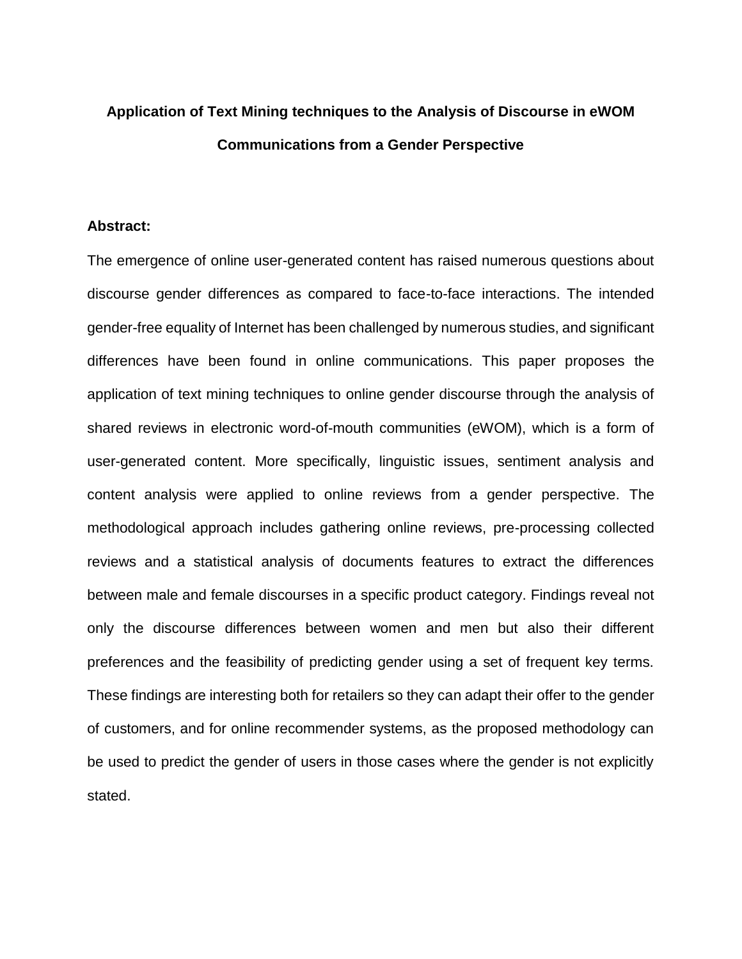# **Application of Text Mining techniques to the Analysis of Discourse in eWOM Communications from a Gender Perspective**

## **Abstract:**

The emergence of online user-generated content has raised numerous questions about discourse gender differences as compared to face-to-face interactions. The intended gender-free equality of Internet has been challenged by numerous studies, and significant differences have been found in online communications. This paper proposes the application of text mining techniques to online gender discourse through the analysis of shared reviews in electronic word-of-mouth communities (eWOM), which is a form of user-generated content. More specifically, linguistic issues, sentiment analysis and content analysis were applied to online reviews from a gender perspective. The methodological approach includes gathering online reviews, pre-processing collected reviews and a statistical analysis of documents features to extract the differences between male and female discourses in a specific product category. Findings reveal not only the discourse differences between women and men but also their different preferences and the feasibility of predicting gender using a set of frequent key terms. These findings are interesting both for retailers so they can adapt their offer to the gender of customers, and for online recommender systems, as the proposed methodology can be used to predict the gender of users in those cases where the gender is not explicitly stated.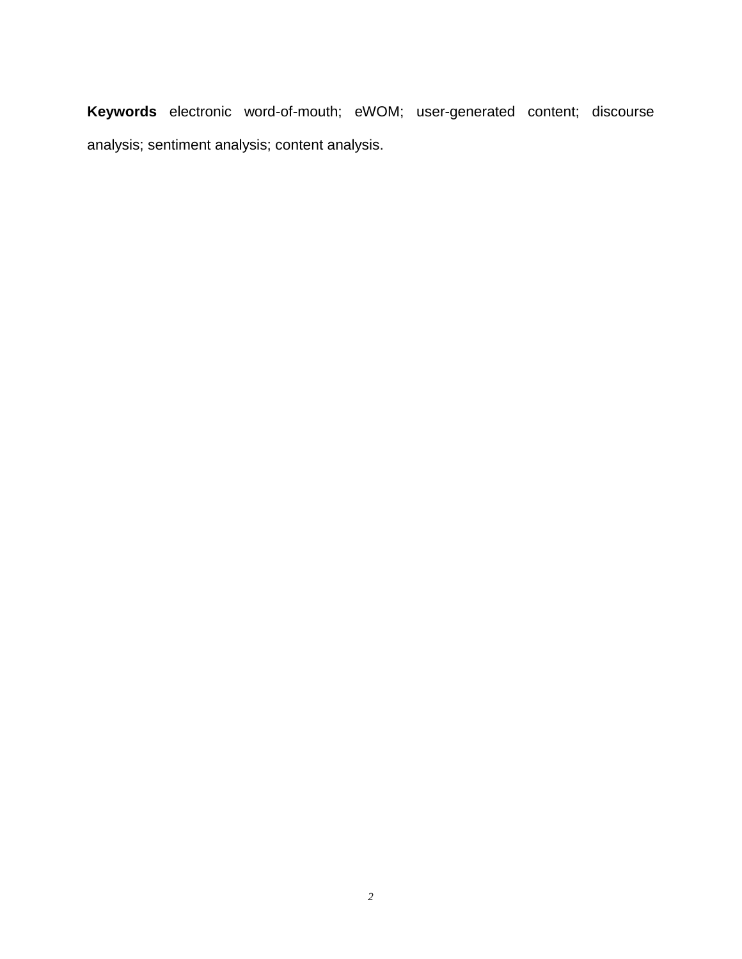**Keywords** electronic word-of-mouth; eWOM; user-generated content; discourse analysis; sentiment analysis; content analysis.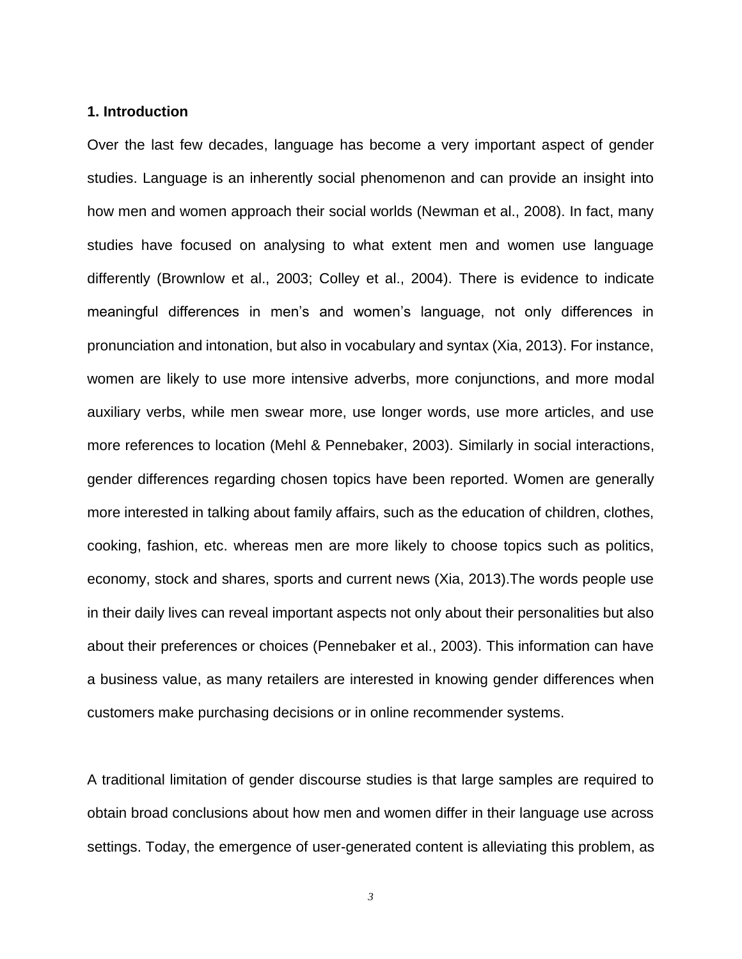## **1. Introduction**

Over the last few decades, language has become a very important aspect of gender studies. Language is an inherently social phenomenon and can provide an insight into how men and women approach their social worlds (Newman et al., 2008). In fact, many studies have focused on analysing to what extent men and women use language differently (Brownlow et al., 2003; Colley et al., 2004). There is evidence to indicate meaningful differences in men's and women's language, not only differences in pronunciation and intonation, but also in vocabulary and syntax (Xia, 2013). For instance, women are likely to use more intensive adverbs, more conjunctions, and more modal auxiliary verbs, while men swear more, use longer words, use more articles, and use more references to location (Mehl & Pennebaker, 2003). Similarly in social interactions, gender differences regarding chosen topics have been reported. Women are generally more interested in talking about family affairs, such as the education of children, clothes, cooking, fashion, etc. whereas men are more likely to choose topics such as politics, economy, stock and shares, sports and current news (Xia, 2013).The words people use in their daily lives can reveal important aspects not only about their personalities but also about their preferences or choices (Pennebaker et al., 2003). This information can have a business value, as many retailers are interested in knowing gender differences when customers make purchasing decisions or in online recommender systems.

A traditional limitation of gender discourse studies is that large samples are required to obtain broad conclusions about how men and women differ in their language use across settings. Today, the emergence of user-generated content is alleviating this problem, as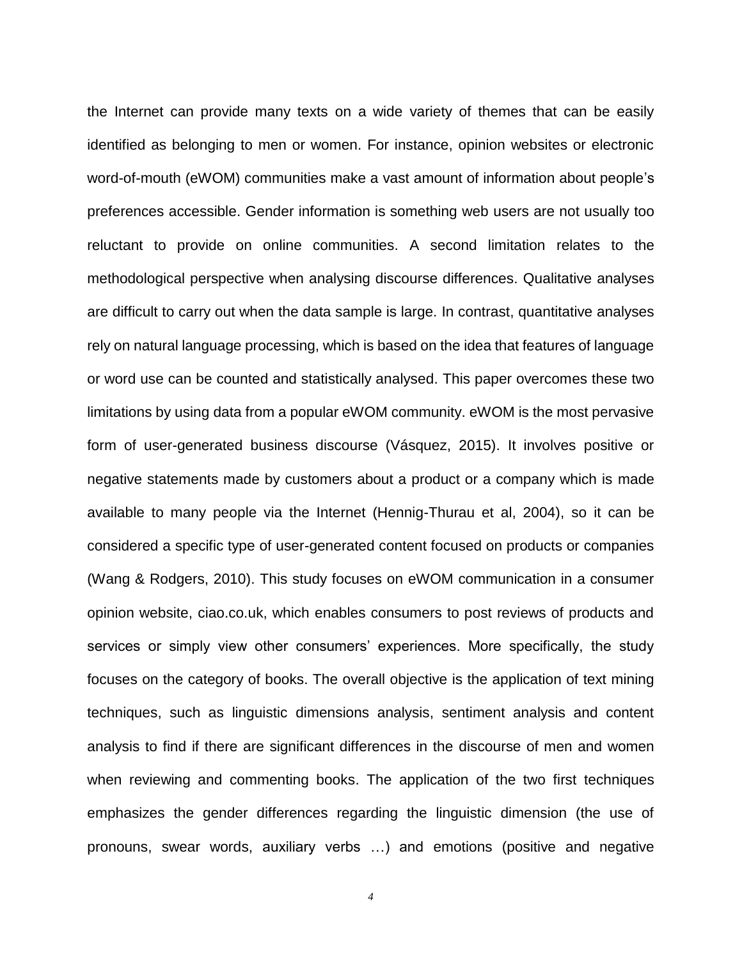the Internet can provide many texts on a wide variety of themes that can be easily identified as belonging to men or women. For instance, opinion websites or electronic word-of-mouth (eWOM) communities make a vast amount of information about people's preferences accessible. Gender information is something web users are not usually too reluctant to provide on online communities. A second limitation relates to the methodological perspective when analysing discourse differences. Qualitative analyses are difficult to carry out when the data sample is large. In contrast, quantitative analyses rely on natural language processing, which is based on the idea that features of language or word use can be counted and statistically analysed. This paper overcomes these two limitations by using data from a popular eWOM community. eWOM is the most pervasive form of user-generated business discourse (Vásquez, 2015). It involves positive or negative statements made by customers about a product or a company which is made available to many people via the Internet (Hennig-Thurau et al, 2004), so it can be considered a specific type of user-generated content focused on products or companies (Wang & Rodgers, 2010). This study focuses on eWOM communication in a consumer opinion website, ciao.co.uk, which enables consumers to post reviews of products and services or simply view other consumers' experiences. More specifically, the study focuses on the category of books. The overall objective is the application of text mining techniques, such as linguistic dimensions analysis, sentiment analysis and content analysis to find if there are significant differences in the discourse of men and women when reviewing and commenting books. The application of the two first techniques emphasizes the gender differences regarding the linguistic dimension (the use of pronouns, swear words, auxiliary verbs …) and emotions (positive and negative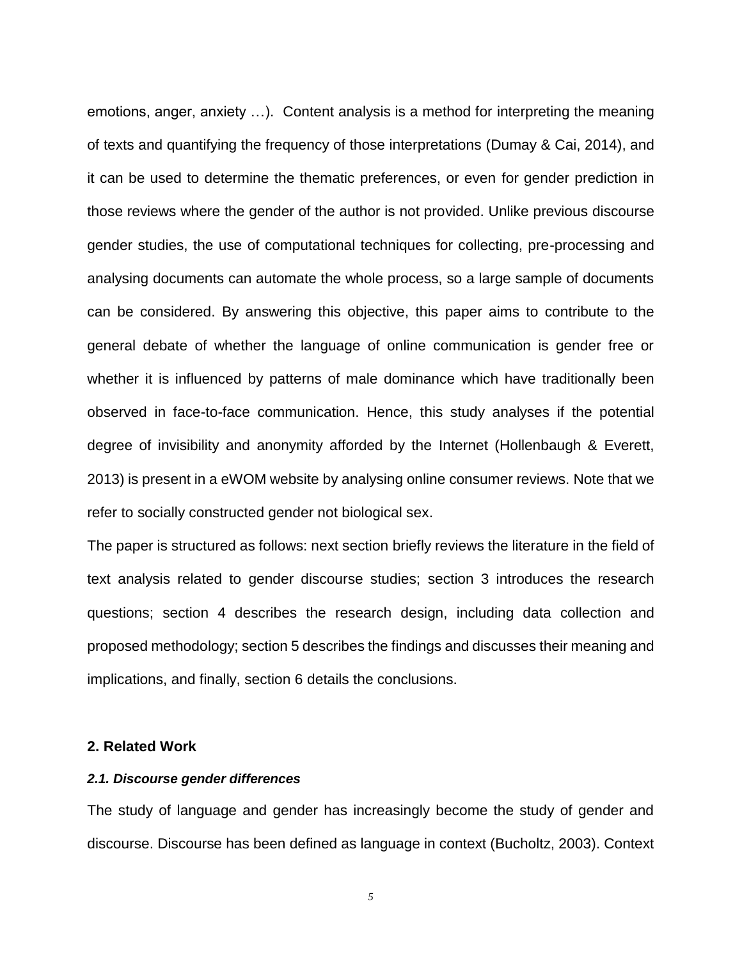emotions, anger, anxiety …). Content analysis is a method for interpreting the meaning of texts and quantifying the frequency of those interpretations (Dumay & Cai, 2014), and it can be used to determine the thematic preferences, or even for gender prediction in those reviews where the gender of the author is not provided. Unlike previous discourse gender studies, the use of computational techniques for collecting, pre-processing and analysing documents can automate the whole process, so a large sample of documents can be considered. By answering this objective, this paper aims to contribute to the general debate of whether the language of online communication is gender free or whether it is influenced by patterns of male dominance which have traditionally been observed in face-to-face communication. Hence, this study analyses if the potential degree of invisibility and anonymity afforded by the Internet (Hollenbaugh & Everett, 2013) is present in a eWOM website by analysing online consumer reviews. Note that we refer to socially constructed gender not biological sex.

The paper is structured as follows: next section briefly reviews the literature in the field of text analysis related to gender discourse studies; section 3 introduces the research questions; section 4 describes the research design, including data collection and proposed methodology; section 5 describes the findings and discusses their meaning and implications, and finally, section 6 details the conclusions.

## **2. Related Work**

#### *2.1. Discourse gender differences*

The study of language and gender has increasingly become the study of gender and discourse. Discourse has been defined as language in context (Bucholtz, 2003). Context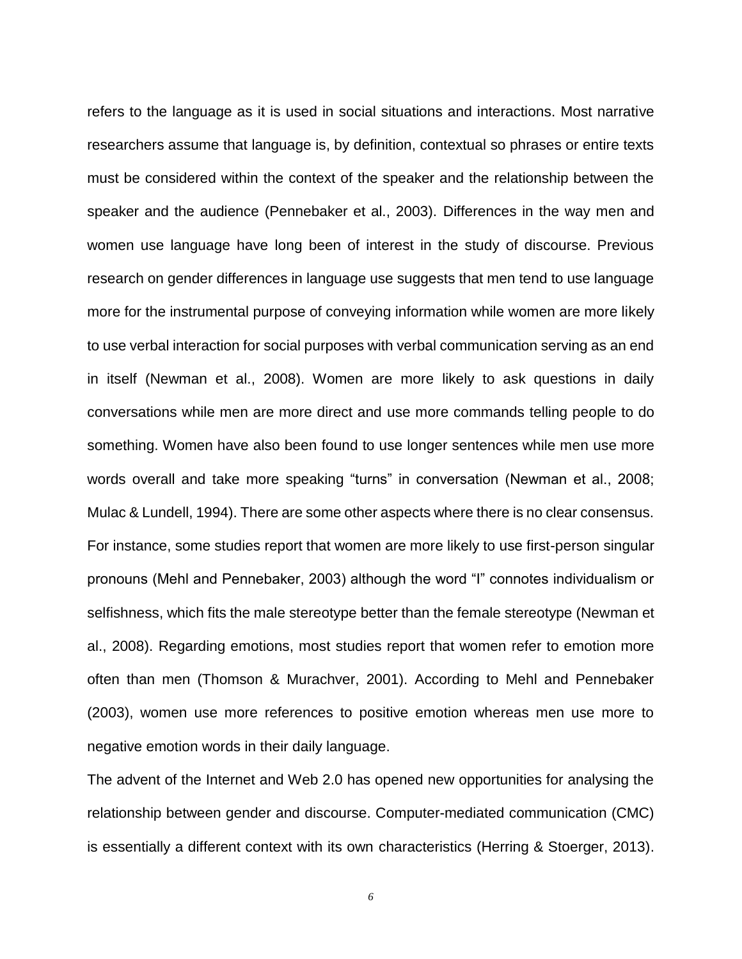refers to the language as it is used in social situations and interactions. Most narrative researchers assume that language is, by definition, contextual so phrases or entire texts must be considered within the context of the speaker and the relationship between the speaker and the audience (Pennebaker et al., 2003). Differences in the way men and women use language have long been of interest in the study of discourse. Previous research on gender differences in language use suggests that men tend to use language more for the instrumental purpose of conveying information while women are more likely to use verbal interaction for social purposes with verbal communication serving as an end in itself (Newman et al., 2008). Women are more likely to ask questions in daily conversations while men are more direct and use more commands telling people to do something. Women have also been found to use longer sentences while men use more words overall and take more speaking "turns" in conversation (Newman et al., 2008; Mulac & Lundell, 1994). There are some other aspects where there is no clear consensus. For instance, some studies report that women are more likely to use first-person singular pronouns (Mehl and Pennebaker, 2003) although the word "I" connotes individualism or selfishness, which fits the male stereotype better than the female stereotype (Newman et al., 2008). Regarding emotions, most studies report that women refer to emotion more often than men (Thomson & Murachver, 2001). According to Mehl and Pennebaker (2003), women use more references to positive emotion whereas men use more to negative emotion words in their daily language.

The advent of the Internet and Web 2.0 has opened new opportunities for analysing the relationship between gender and discourse. Computer-mediated communication (CMC) is essentially a different context with its own characteristics (Herring & Stoerger, 2013).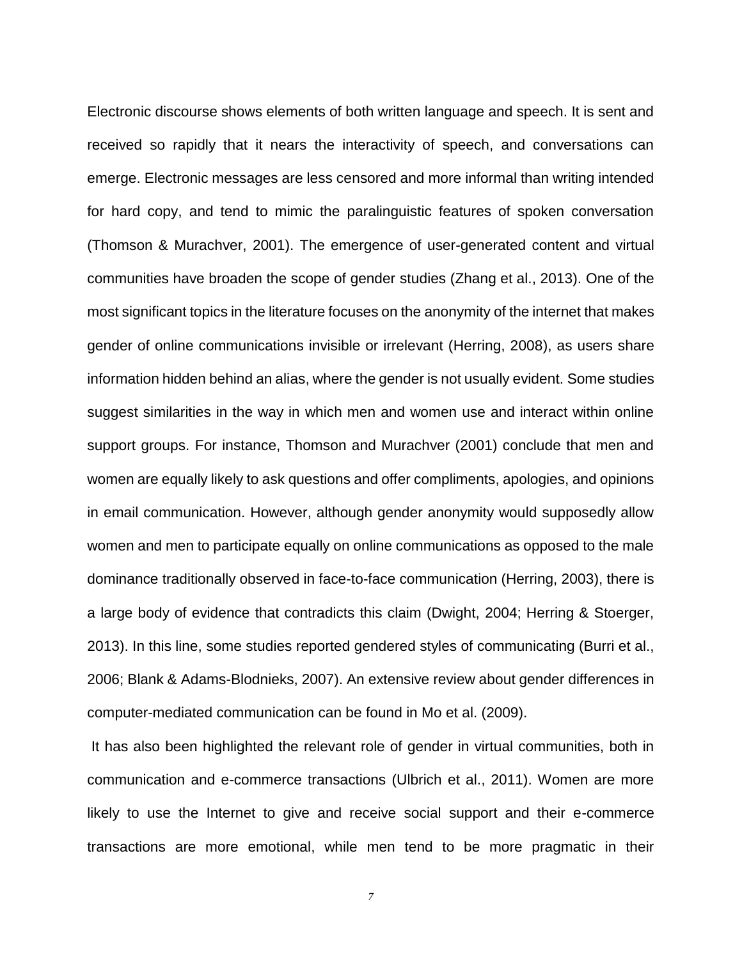Electronic discourse shows elements of both written language and speech. It is sent and received so rapidly that it nears the interactivity of speech, and conversations can emerge. Electronic messages are less censored and more informal than writing intended for hard copy, and tend to mimic the paralinguistic features of spoken conversation (Thomson & Murachver, 2001). The emergence of user-generated content and virtual communities have broaden the scope of gender studies (Zhang et al., 2013). One of the most significant topics in the literature focuses on the anonymity of the internet that makes gender of online communications invisible or irrelevant (Herring, 2008), as users share information hidden behind an alias, where the gender is not usually evident. Some studies suggest similarities in the way in which men and women use and interact within online support groups. For instance, Thomson and Murachver (2001) conclude that men and women are equally likely to ask questions and offer compliments, apologies, and opinions in email communication. However, although gender anonymity would supposedly allow women and men to participate equally on online communications as opposed to the male dominance traditionally observed in face-to-face communication (Herring, 2003), there is a large body of evidence that contradicts this claim (Dwight, 2004; Herring & Stoerger, 2013). In this line, some studies reported gendered styles of communicating (Burri et al., 2006; Blank & Adams-Blodnieks, 2007). An extensive review about gender differences in computer-mediated communication can be found in Mo et al. (2009).

It has also been highlighted the relevant role of gender in virtual communities, both in communication and e-commerce transactions (Ulbrich et al., 2011). Women are more likely to use the Internet to give and receive social support and their e-commerce transactions are more emotional, while men tend to be more pragmatic in their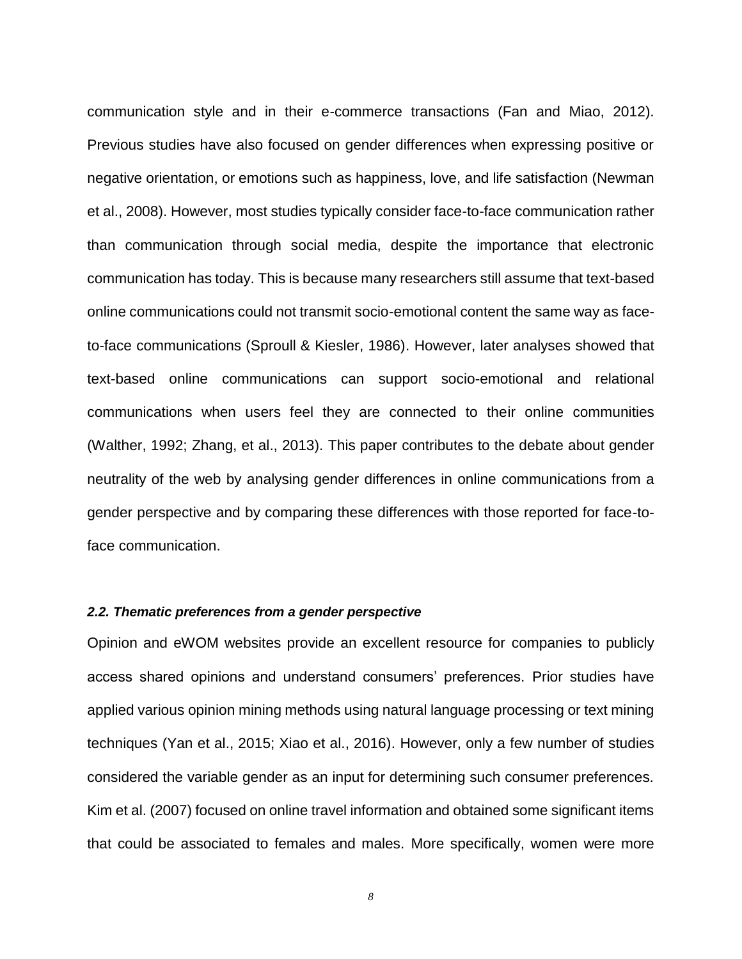communication style and in their e-commerce transactions (Fan and Miao, 2012). Previous studies have also focused on gender differences when expressing positive or negative orientation, or emotions such as happiness, love, and life satisfaction (Newman et al., 2008). However, most studies typically consider face-to-face communication rather than communication through social media, despite the importance that electronic communication has today. This is because many researchers still assume that text-based online communications could not transmit socio-emotional content the same way as faceto-face communications (Sproull & Kiesler, 1986). However, later analyses showed that text-based online communications can support socio-emotional and relational communications when users feel they are connected to their online communities (Walther, 1992; Zhang, et al., 2013). This paper contributes to the debate about gender neutrality of the web by analysing gender differences in online communications from a gender perspective and by comparing these differences with those reported for face-toface communication.

#### *2.2. Thematic preferences from a gender perspective*

Opinion and eWOM websites provide an excellent resource for companies to publicly access shared opinions and understand consumers' preferences. Prior studies have applied various opinion mining methods using natural language processing or text mining techniques (Yan et al., 2015; Xiao et al., 2016). However, only a few number of studies considered the variable gender as an input for determining such consumer preferences. Kim et al. (2007) focused on online travel information and obtained some significant items that could be associated to females and males. More specifically, women were more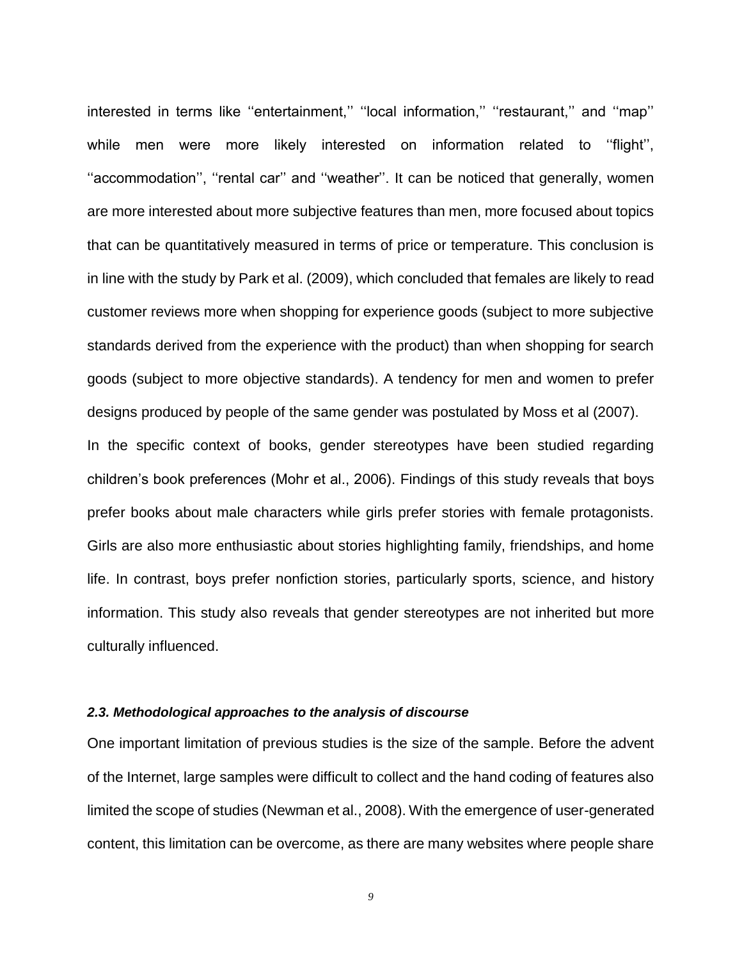interested in terms like "entertainment," "local information," "restaurant," and "map" while men were more likely interested on information related to "flight", "accommodation", "rental car" and "weather". It can be noticed that generally, women are more interested about more subjective features than men, more focused about topics that can be quantitatively measured in terms of price or temperature. This conclusion is in line with the study by Park et al. (2009), which concluded that females are likely to read customer reviews more when shopping for experience goods (subject to more subjective standards derived from the experience with the product) than when shopping for search goods (subject to more objective standards). A tendency for men and women to prefer designs produced by people of the same gender was postulated by Moss et al (2007). In the specific context of books, gender stereotypes have been studied regarding children's book preferences (Mohr et al., 2006). Findings of this study reveals that boys prefer books about male characters while girls prefer stories with female protagonists. Girls are also more enthusiastic about stories highlighting family, friendships, and home life. In contrast, boys prefer nonfiction stories, particularly sports, science, and history information. This study also reveals that gender stereotypes are not inherited but more

culturally influenced.

#### *2.3. Methodological approaches to the analysis of discourse*

One important limitation of previous studies is the size of the sample. Before the advent of the Internet, large samples were difficult to collect and the hand coding of features also limited the scope of studies (Newman et al., 2008). With the emergence of user-generated content, this limitation can be overcome, as there are many websites where people share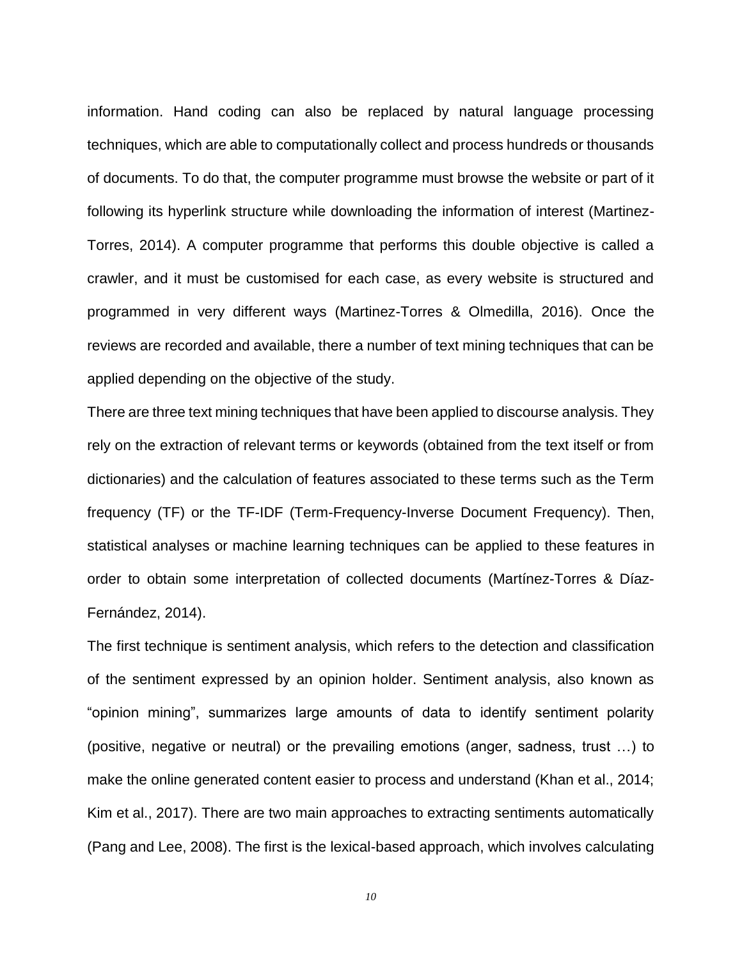information. Hand coding can also be replaced by natural language processing techniques, which are able to computationally collect and process hundreds or thousands of documents. To do that, the computer programme must browse the website or part of it following its hyperlink structure while downloading the information of interest (Martinez-Torres, 2014). A computer programme that performs this double objective is called a crawler, and it must be customised for each case, as every website is structured and programmed in very different ways (Martinez-Torres & Olmedilla, 2016). Once the reviews are recorded and available, there a number of text mining techniques that can be applied depending on the objective of the study.

There are three text mining techniques that have been applied to discourse analysis. They rely on the extraction of relevant terms or keywords (obtained from the text itself or from dictionaries) and the calculation of features associated to these terms such as the Term frequency (TF) or the TF-IDF (Term-Frequency-Inverse Document Frequency). Then, statistical analyses or machine learning techniques can be applied to these features in order to obtain some interpretation of collected documents (Martínez-Torres & Díaz-Fernández, 2014).

The first technique is sentiment analysis, which refers to the detection and classification of the sentiment expressed by an opinion holder. Sentiment analysis, also known as "opinion mining", summarizes large amounts of data to identify sentiment polarity (positive, negative or neutral) or the prevailing emotions (anger, sadness, trust …) to make the online generated content easier to process and understand (Khan et al., 2014; Kim et al., 2017). There are two main approaches to extracting sentiments automatically (Pang and Lee, 2008). The first is the lexical-based approach, which involves calculating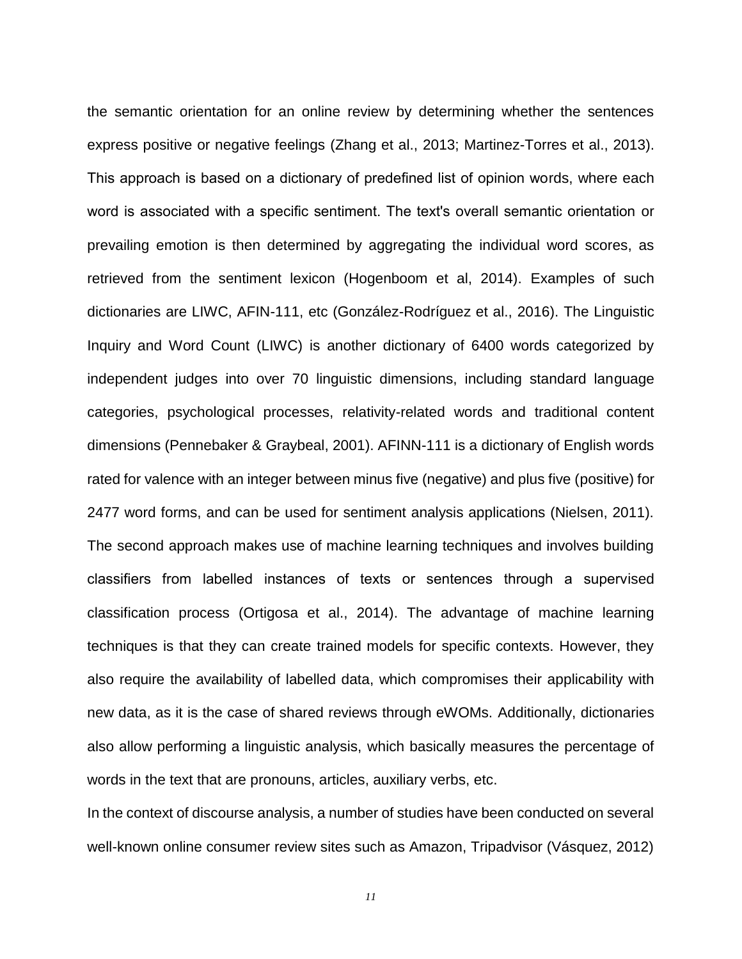the semantic orientation for an online review by determining whether the sentences express positive or negative feelings (Zhang et al., 2013; Martinez-Torres et al., 2013). This approach is based on a dictionary of predefined list of opinion words, where each word is associated with a specific sentiment. The text's overall semantic orientation or prevailing emotion is then determined by aggregating the individual word scores, as retrieved from the sentiment lexicon (Hogenboom et al, 2014). Examples of such dictionaries are LIWC, AFIN-111, etc (González-Rodríguez et al., 2016). The Linguistic Inquiry and Word Count (LIWC) is another dictionary of 6400 words categorized by independent judges into over 70 linguistic dimensions, including standard language categories, psychological processes, relativity-related words and traditional content dimensions (Pennebaker & Graybeal, 2001). AFINN-111 is a dictionary of English words rated for valence with an integer between minus five (negative) and plus five (positive) for 2477 word forms, and can be used for sentiment analysis applications (Nielsen, 2011). The second approach makes use of machine learning techniques and involves building classifiers from labelled instances of texts or sentences through a supervised classification process (Ortigosa et al., 2014). The advantage of machine learning techniques is that they can create trained models for specific contexts. However, they also require the availability of labelled data, which compromises their applicability with new data, as it is the case of shared reviews through eWOMs. Additionally, dictionaries also allow performing a linguistic analysis, which basically measures the percentage of words in the text that are pronouns, articles, auxiliary verbs, etc.

In the context of discourse analysis, a number of studies have been conducted on several well-known online consumer review sites such as Amazon, Tripadvisor (Vásquez, 2012)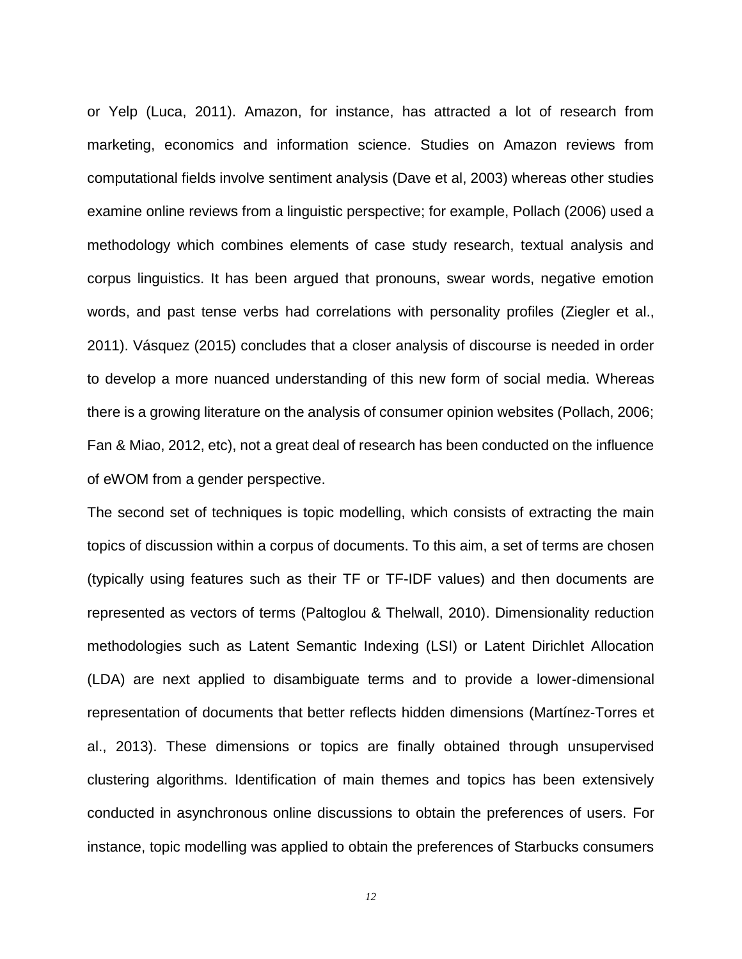or Yelp (Luca, 2011). Amazon, for instance, has attracted a lot of research from marketing, economics and information science. Studies on Amazon reviews from computational fields involve sentiment analysis (Dave et al, 2003) whereas other studies examine online reviews from a linguistic perspective; for example, Pollach (2006) used a methodology which combines elements of case study research, textual analysis and corpus linguistics. It has been argued that pronouns, swear words, negative emotion words, and past tense verbs had correlations with personality profiles (Ziegler et al., 2011). Vásquez (2015) concludes that a closer analysis of discourse is needed in order to develop a more nuanced understanding of this new form of social media. Whereas there is a growing literature on the analysis of consumer opinion websites (Pollach, 2006; Fan & Miao, 2012, etc), not a great deal of research has been conducted on the influence of eWOM from a gender perspective.

The second set of techniques is topic modelling, which consists of extracting the main topics of discussion within a corpus of documents. To this aim, a set of terms are chosen (typically using features such as their TF or TF-IDF values) and then documents are represented as vectors of terms (Paltoglou & Thelwall, 2010). Dimensionality reduction methodologies such as Latent Semantic Indexing (LSI) or Latent Dirichlet Allocation (LDA) are next applied to disambiguate terms and to provide a lower-dimensional representation of documents that better reflects hidden dimensions (Martínez-Torres et al., 2013). These dimensions or topics are finally obtained through unsupervised clustering algorithms. Identification of main themes and topics has been extensively conducted in asynchronous online discussions to obtain the preferences of users. For instance, topic modelling was applied to obtain the preferences of Starbucks consumers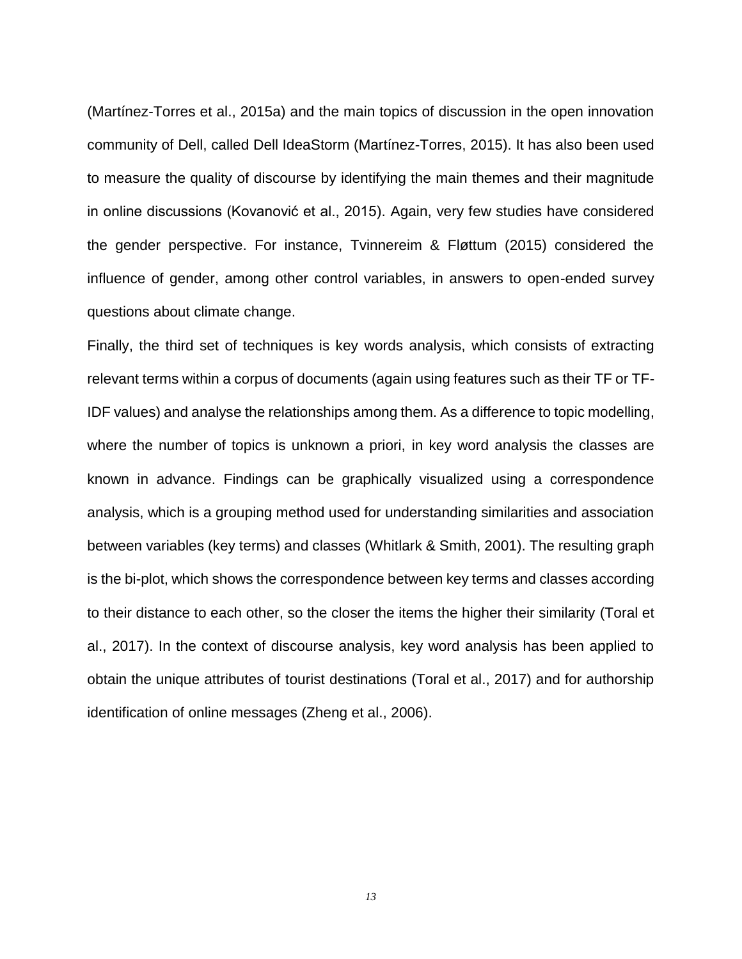(Martínez-Torres et al., 2015a) and the main topics of discussion in the open innovation community of Dell, called Dell IdeaStorm (Martínez-Torres, 2015). It has also been used to measure the quality of discourse by identifying the main themes and their magnitude in online discussions (Kovanović et al., 2015). Again, very few studies have considered the gender perspective. For instance, Tvinnereim & Fløttum (2015) considered the influence of gender, among other control variables, in answers to open-ended survey questions about climate change.

Finally, the third set of techniques is key words analysis, which consists of extracting relevant terms within a corpus of documents (again using features such as their TF or TF-IDF values) and analyse the relationships among them. As a difference to topic modelling, where the number of topics is unknown a priori, in key word analysis the classes are known in advance. Findings can be graphically visualized using a correspondence analysis, which is a grouping method used for understanding similarities and association between variables (key terms) and classes (Whitlark & Smith, 2001). The resulting graph is the bi-plot, which shows the correspondence between key terms and classes according to their distance to each other, so the closer the items the higher their similarity (Toral et al., 2017). In the context of discourse analysis, key word analysis has been applied to obtain the unique attributes of tourist destinations (Toral et al., 2017) and for authorship identification of online messages (Zheng et al., 2006).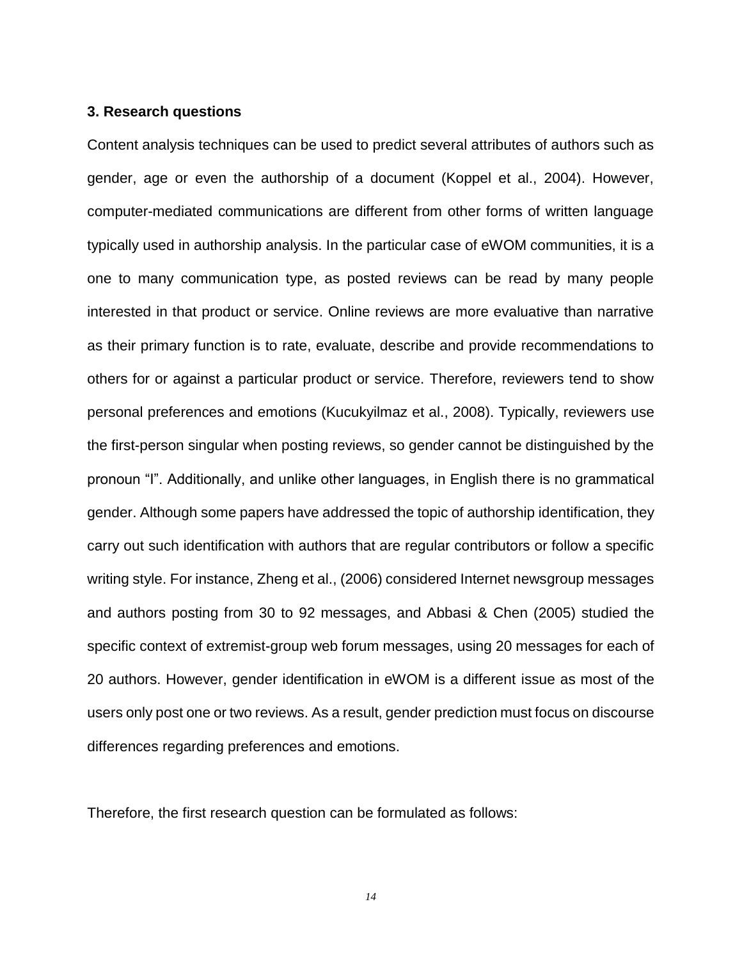#### **3. Research questions**

Content analysis techniques can be used to predict several attributes of authors such as gender, age or even the authorship of a document (Koppel et al., 2004). However, computer-mediated communications are different from other forms of written language typically used in authorship analysis. In the particular case of eWOM communities, it is a one to many communication type, as posted reviews can be read by many people interested in that product or service. Online reviews are more evaluative than narrative as their primary function is to rate, evaluate, describe and provide recommendations to others for or against a particular product or service. Therefore, reviewers tend to show personal preferences and emotions (Kucukyilmaz et al., 2008). Typically, reviewers use the first-person singular when posting reviews, so gender cannot be distinguished by the pronoun "I". Additionally, and unlike other languages, in English there is no grammatical gender. Although some papers have addressed the topic of authorship identification, they carry out such identification with authors that are regular contributors or follow a specific writing style. For instance, Zheng et al., (2006) considered Internet newsgroup messages and authors posting from 30 to 92 messages, and Abbasi & Chen (2005) studied the specific context of extremist-group web forum messages, using 20 messages for each of 20 authors. However, gender identification in eWOM is a different issue as most of the users only post one or two reviews. As a result, gender prediction must focus on discourse differences regarding preferences and emotions.

Therefore, the first research question can be formulated as follows: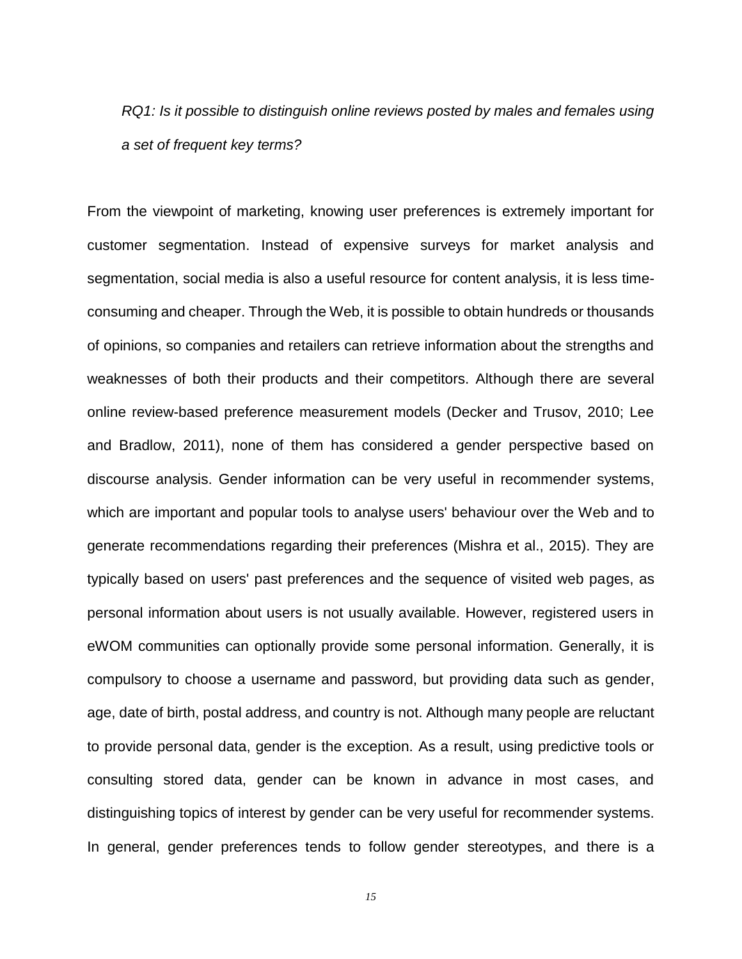*RQ1: Is it possible to distinguish online reviews posted by males and females using a set of frequent key terms?*

From the viewpoint of marketing, knowing user preferences is extremely important for customer segmentation. Instead of expensive surveys for market analysis and segmentation, social media is also a useful resource for content analysis, it is less timeconsuming and cheaper. Through the Web, it is possible to obtain hundreds or thousands of opinions, so companies and retailers can retrieve information about the strengths and weaknesses of both their products and their competitors. Although there are several online review-based preference measurement models (Decker and Trusov, 2010; Lee and Bradlow, 2011), none of them has considered a gender perspective based on discourse analysis. Gender information can be very useful in recommender systems, which are important and popular tools to analyse users' behaviour over the Web and to generate recommendations regarding their preferences (Mishra et al., 2015). They are typically based on users' past preferences and the sequence of visited web pages, as personal information about users is not usually available. However, registered users in eWOM communities can optionally provide some personal information. Generally, it is compulsory to choose a username and password, but providing data such as gender, age, date of birth, postal address, and country is not. Although many people are reluctant to provide personal data, gender is the exception. As a result, using predictive tools or consulting stored data, gender can be known in advance in most cases, and distinguishing topics of interest by gender can be very useful for recommender systems. In general, gender preferences tends to follow gender stereotypes, and there is a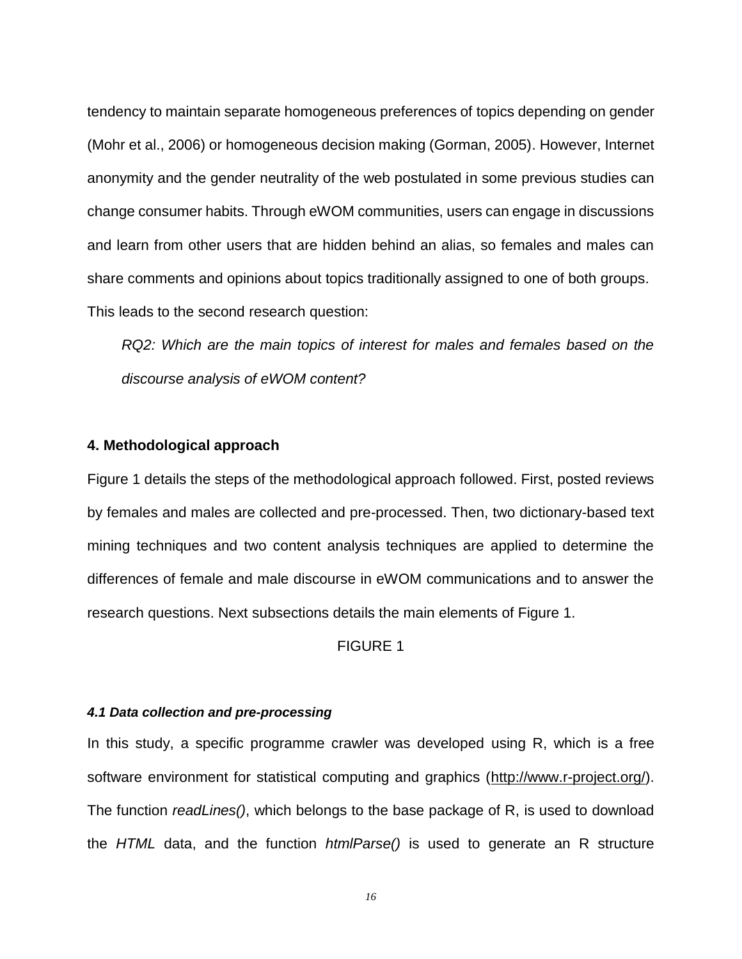tendency to maintain separate homogeneous preferences of topics depending on gender (Mohr et al., 2006) or homogeneous decision making (Gorman, 2005). However, Internet anonymity and the gender neutrality of the web postulated in some previous studies can change consumer habits. Through eWOM communities, users can engage in discussions and learn from other users that are hidden behind an alias, so females and males can share comments and opinions about topics traditionally assigned to one of both groups. This leads to the second research question:

*RQ2: Which are the main topics of interest for males and females based on the discourse analysis of eWOM content?*

#### **4. Methodological approach**

[Figure 1](#page-50-0) details the steps of the methodological approach followed. First, posted reviews by females and males are collected and pre-processed. Then, two dictionary-based text mining techniques and two content analysis techniques are applied to determine the differences of female and male discourse in eWOM communications and to answer the research questions. Next subsections details the main elements of [Figure 1.](#page-50-0)

FIGURE 1

## *4.1 Data collection and pre-processing*

In this study, a specific programme crawler was developed using R, which is a free software environment for statistical computing and graphics [\(http://www.r-project.org/\)](http://www.r-project.org/). The function *readLines()*, which belongs to the base package of R, is used to download the *HTML* data, and the function *htmlParse()* is used to generate an R structure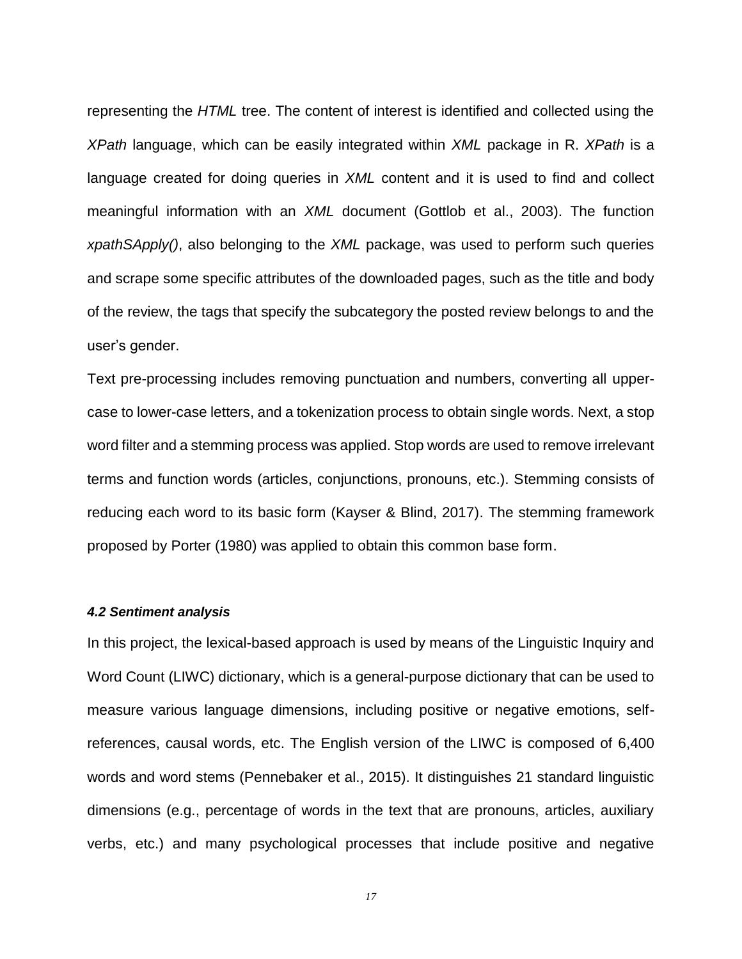representing the *HTML* tree. The content of interest is identified and collected using the *XPath* language, which can be easily integrated within *XML* package in R. *XPath* is a language created for doing queries in *XML* content and it is used to find and collect meaningful information with an *XML* document (Gottlob et al., 2003). The function *xpathSApply()*, also belonging to the *XML* package, was used to perform such queries and scrape some specific attributes of the downloaded pages, such as the title and body of the review, the tags that specify the subcategory the posted review belongs to and the user's gender.

Text pre-processing includes removing punctuation and numbers, converting all uppercase to lower-case letters, and a tokenization process to obtain single words. Next, a stop word filter and a stemming process was applied. Stop words are used to remove irrelevant terms and function words (articles, conjunctions, pronouns, etc.). Stemming consists of reducing each word to its basic form (Kayser & Blind, 2017). The stemming framework proposed by Porter (1980) was applied to obtain this common base form.

#### *4.2 Sentiment analysis*

In this project, the lexical-based approach is used by means of the Linguistic Inquiry and Word Count (LIWC) dictionary, which is a general-purpose dictionary that can be used to measure various language dimensions, including positive or negative emotions, selfreferences, causal words, etc. The English version of the LIWC is composed of 6,400 words and word stems (Pennebaker et al., 2015). It distinguishes 21 standard linguistic dimensions (e.g., percentage of words in the text that are pronouns, articles, auxiliary verbs, etc.) and many psychological processes that include positive and negative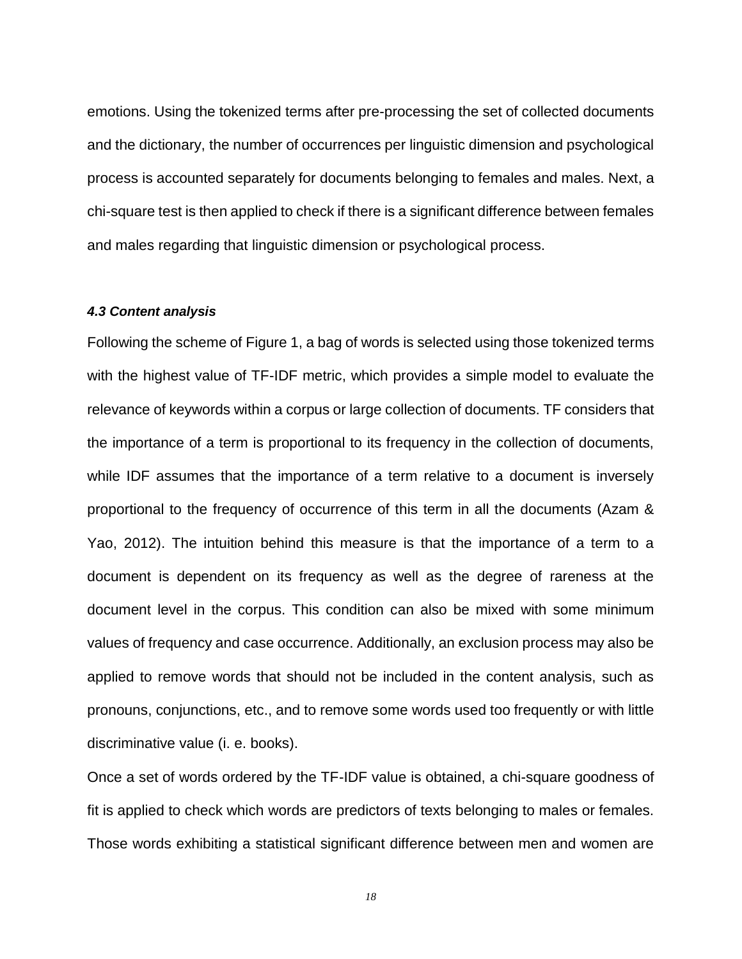emotions. Using the tokenized terms after pre-processing the set of collected documents and the dictionary, the number of occurrences per linguistic dimension and psychological process is accounted separately for documents belonging to females and males. Next, a chi-square test is then applied to check if there is a significant difference between females and males regarding that linguistic dimension or psychological process.

#### *4.3 Content analysis*

Following the scheme of [Figure 1,](#page-50-0) a bag of words is selected using those tokenized terms with the highest value of TF-IDF metric, which provides a simple model to evaluate the relevance of keywords within a corpus or large collection of documents. TF considers that the importance of a term is proportional to its frequency in the collection of documents, while IDF assumes that the importance of a term relative to a document is inversely proportional to the frequency of occurrence of this term in all the documents (Azam & Yao, 2012). The intuition behind this measure is that the importance of a term to a document is dependent on its frequency as well as the degree of rareness at the document level in the corpus. This condition can also be mixed with some minimum values of frequency and case occurrence. Additionally, an exclusion process may also be applied to remove words that should not be included in the content analysis, such as pronouns, conjunctions, etc., and to remove some words used too frequently or with little discriminative value (i. e. books).

Once a set of words ordered by the TF-IDF value is obtained, a chi-square goodness of fit is applied to check which words are predictors of texts belonging to males or females. Those words exhibiting a statistical significant difference between men and women are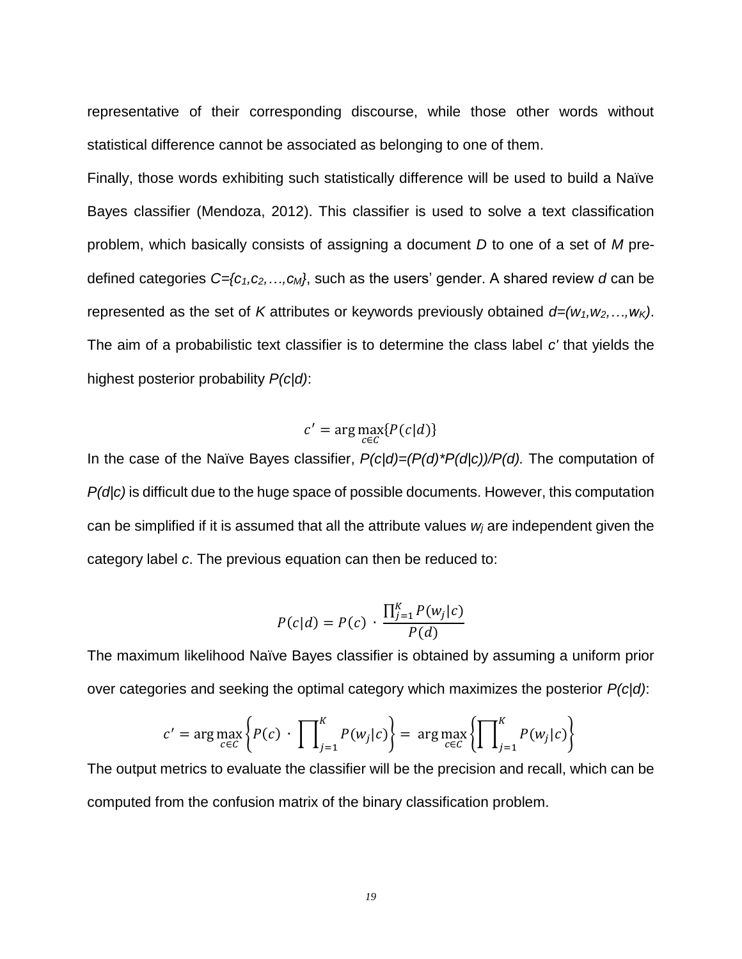representative of their corresponding discourse, while those other words without statistical difference cannot be associated as belonging to one of them.

Finally, those words exhibiting such statistically difference will be used to build a Naïve Bayes classifier (Mendoza, 2012). This classifier is used to solve a text classification problem, which basically consists of assigning a document *D* to one of a set of *M* predefined categories *C={c1,c2,…,cM}*, such as the users' gender. A shared review *d* can be represented as the set of *K* attributes or keywords previously obtained *d=(w1,w2,…,wK)*. The aim of a probabilistic text classifier is to determine the class label *c'* that yields the highest posterior probability *P(c|d)*:

$$
c' = \arg\max_{c \in C} \{P(c|d)\}
$$

In the case of the Naïve Bayes classifier, *P(c|d)=(P(d)\*P(d|c))/P(d).* The computation of *P(d|c)* is difficult due to the huge space of possible documents. However, this computation can be simplified if it is assumed that all the attribute values *w<sup>j</sup>* are independent given the category label *c*. The previous equation can then be reduced to:

$$
P(c|d) = P(c) \cdot \frac{\prod_{j=1}^{K} P(w_j|c)}{P(d)}
$$

The maximum likelihood Naïve Bayes classifier is obtained by assuming a uniform prior over categories and seeking the optimal category which maximizes the posterior *P(c|d)*:

$$
c' = \arg \max_{c \in C} \left\{ P(c) \cdot \prod_{j=1}^{K} P(w_j|c) \right\} = \arg \max_{c \in C} \left\{ \prod_{j=1}^{K} P(w_j|c) \right\}
$$

The output metrics to evaluate the classifier will be the precision and recall, which can be computed from the confusion matrix of the binary classification problem.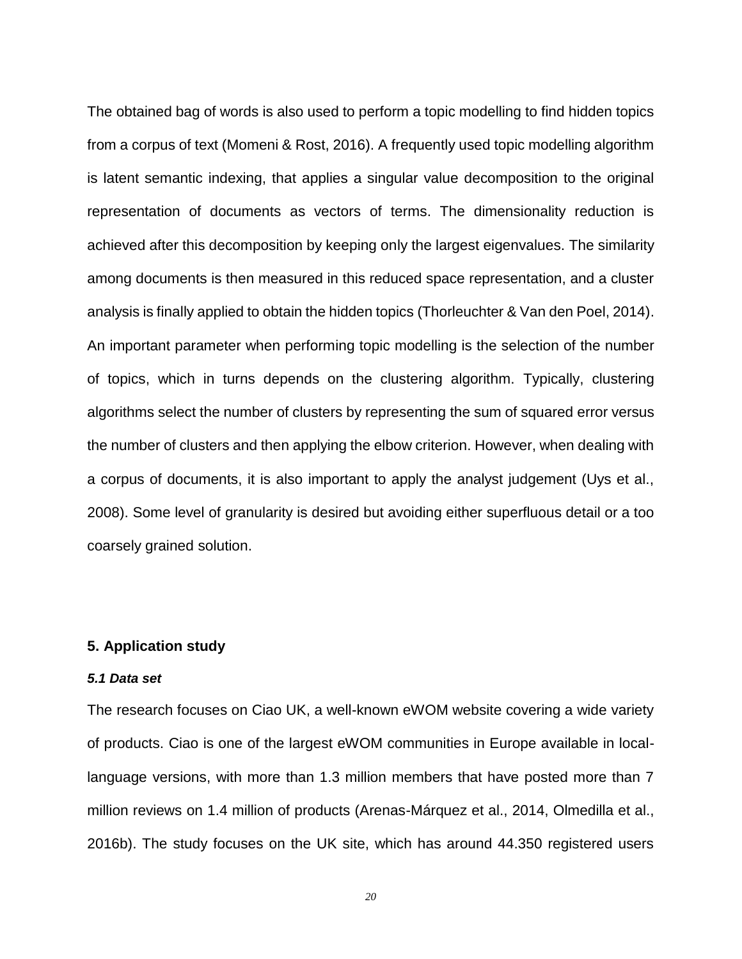The obtained bag of words is also used to perform a topic modelling to find hidden topics from a corpus of text (Momeni & Rost, 2016). A frequently used topic modelling algorithm is latent semantic indexing, that applies a singular value decomposition to the original representation of documents as vectors of terms. The dimensionality reduction is achieved after this decomposition by keeping only the largest eigenvalues. The similarity among documents is then measured in this reduced space representation, and a cluster analysis is finally applied to obtain the hidden topics (Thorleuchter & Van den Poel, 2014). An important parameter when performing topic modelling is the selection of the number of topics, which in turns depends on the clustering algorithm. Typically, clustering algorithms select the number of clusters by representing the sum of squared error versus the number of clusters and then applying the elbow criterion. However, when dealing with a corpus of documents, it is also important to apply the analyst judgement (Uys et al., 2008). Some level of granularity is desired but avoiding either superfluous detail or a too coarsely grained solution.

## **5. Application study**

## *5.1 Data set*

The research focuses on Ciao UK, a well-known eWOM website covering a wide variety of products. Ciao is one of the largest eWOM communities in Europe available in locallanguage versions, with more than 1.3 million members that have posted more than 7 million reviews on 1.4 million of products (Arenas-Márquez et al., 2014, Olmedilla et al., 2016b). The study focuses on the UK site, which has around 44.350 registered users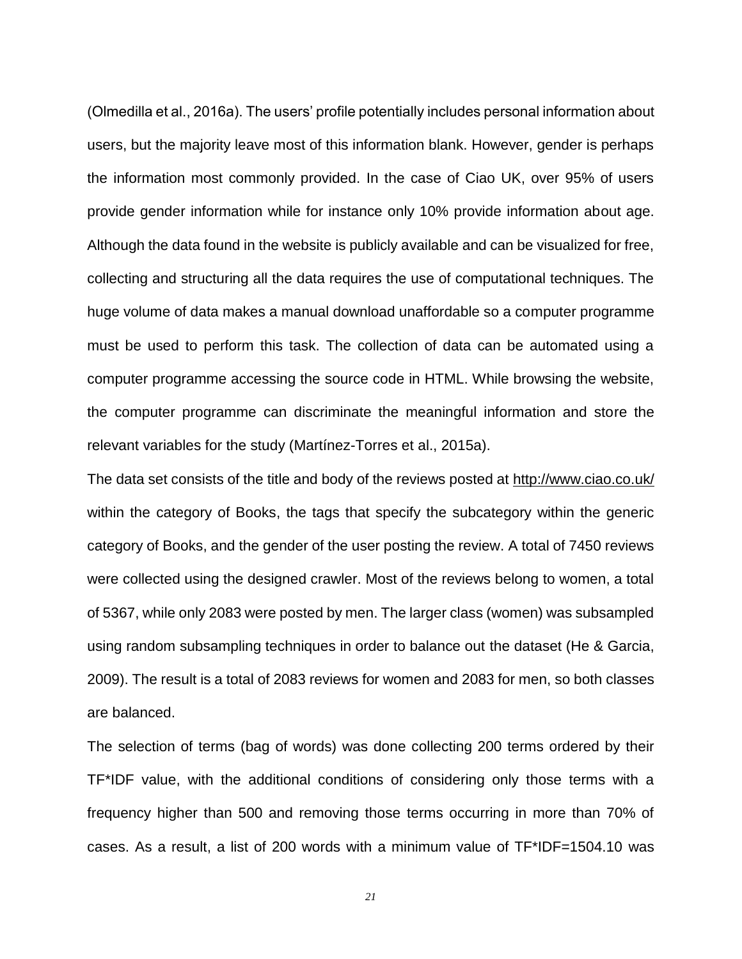(Olmedilla et al., 2016a). The users' profile potentially includes personal information about users, but the majority leave most of this information blank. However, gender is perhaps the information most commonly provided. In the case of Ciao UK, over 95% of users provide gender information while for instance only 10% provide information about age. Although the data found in the website is publicly available and can be visualized for free, collecting and structuring all the data requires the use of computational techniques. The huge volume of data makes a manual download unaffordable so a computer programme must be used to perform this task. The collection of data can be automated using a computer programme accessing the source code in HTML. While browsing the website, the computer programme can discriminate the meaningful information and store the relevant variables for the study (Martínez-Torres et al., 2015a).

The data set consists of the title and body of the reviews posted at<http://www.ciao.co.uk/> within the category of Books, the tags that specify the subcategory within the generic category of Books, and the gender of the user posting the review. A total of 7450 reviews were collected using the designed crawler. Most of the reviews belong to women, a total of 5367, while only 2083 were posted by men. The larger class (women) was subsampled using random subsampling techniques in order to balance out the dataset (He & Garcia, 2009). The result is a total of 2083 reviews for women and 2083 for men, so both classes are balanced.

The selection of terms (bag of words) was done collecting 200 terms ordered by their TF\*IDF value, with the additional conditions of considering only those terms with a frequency higher than 500 and removing those terms occurring in more than 70% of cases. As a result, a list of 200 words with a minimum value of TF\*IDF=1504.10 was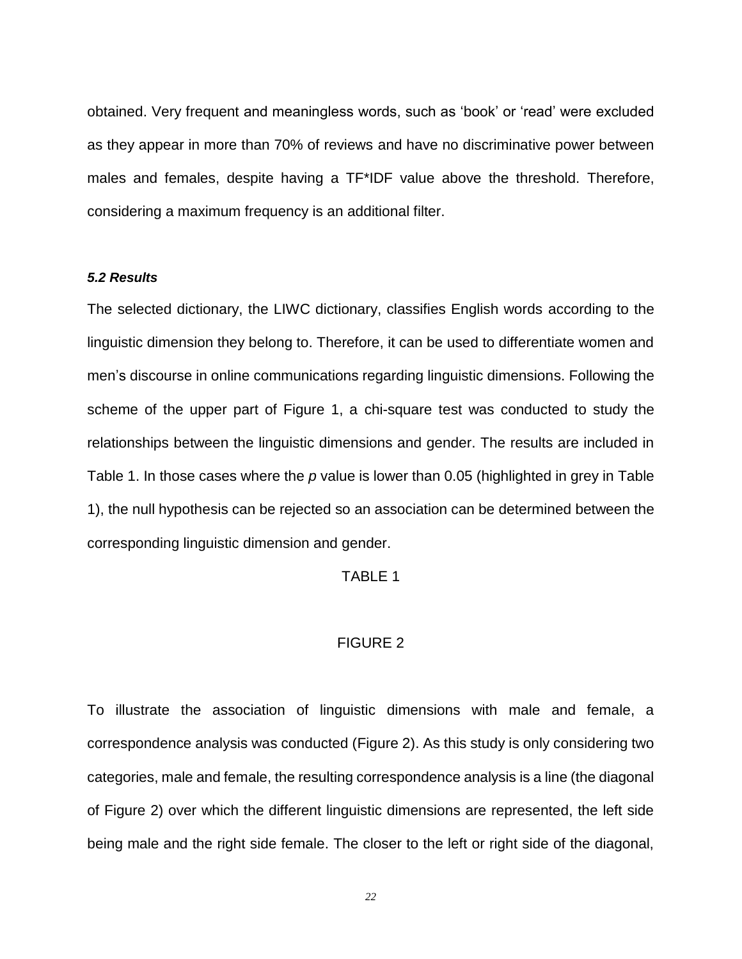obtained. Very frequent and meaningless words, such as 'book' or 'read' were excluded as they appear in more than 70% of reviews and have no discriminative power between males and females, despite having a TF\*IDF value above the threshold. Therefore, considering a maximum frequency is an additional filter.

#### *5.2 Results*

The selected dictionary, the LIWC dictionary, classifies English words according to the linguistic dimension they belong to. Therefore, it can be used to differentiate women and men's discourse in online communications regarding linguistic dimensions. Following the scheme of the upper part of Figure 1, a chi-square test was conducted to study the relationships between the linguistic dimensions and gender. The results are included in Table 1. In those cases where the *p* value is lower than 0.05 (highlighted in grey in Table 1), the null hypothesis can be rejected so an association can be determined between the corresponding linguistic dimension and gender.

### TABLE 1

## FIGURE 2

To illustrate the association of linguistic dimensions with male and female, a correspondence analysis was conducted [\(Figure 2\)](#page-51-0). As this study is only considering two categories, male and female, the resulting correspondence analysis is a line (the diagonal of [Figure 2\)](#page-51-0) over which the different linguistic dimensions are represented, the left side being male and the right side female. The closer to the left or right side of the diagonal,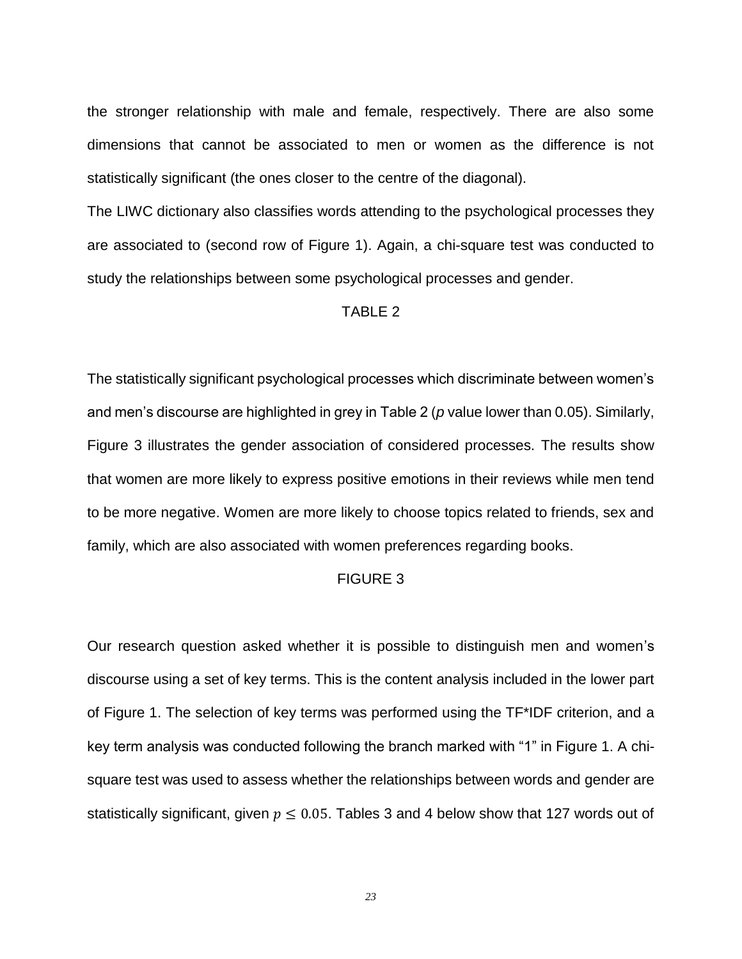the stronger relationship with male and female, respectively. There are also some dimensions that cannot be associated to men or women as the difference is not statistically significant (the ones closer to the centre of the diagonal).

The LIWC dictionary also classifies words attending to the psychological processes they are associated to (second row of Figure 1). Again, a chi-square test was conducted to study the relationships between some psychological processes and gender.

## TABLE 2

The statistically significant psychological processes which discriminate between women's and men's discourse are highlighted in grey in Table 2 (*p* value lower than 0.05). Similarly, [Figure 3](#page-52-0) illustrates the gender association of considered processes. The results show that women are more likely to express positive emotions in their reviews while men tend to be more negative. Women are more likely to choose topics related to friends, sex and family, which are also associated with women preferences regarding books.

## FIGURE 3

Our research question asked whether it is possible to distinguish men and women's discourse using a set of key terms. This is the content analysis included in the lower part of Figure 1. The selection of key terms was performed using the TF\*IDF criterion, and a key term analysis was conducted following the branch marked with "1" in Figure 1. A chisquare test was used to assess whether the relationships between words and gender are statistically significant, given  $p \le 0.05$ . Tables 3 and 4 below show that 127 words out of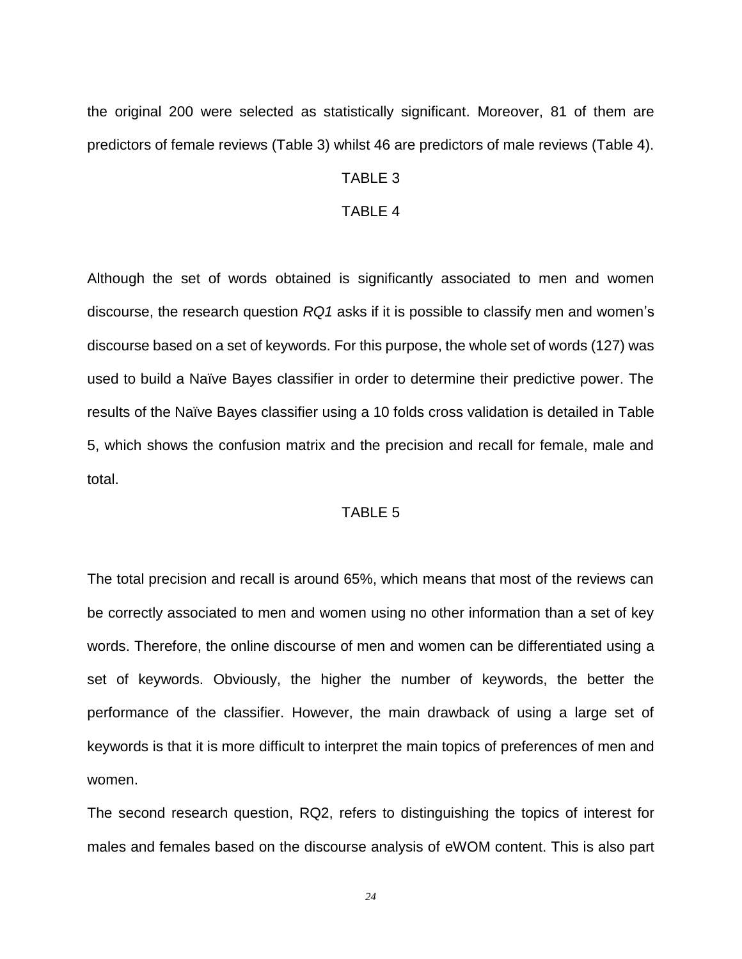the original 200 were selected as statistically significant. Moreover, 81 of them are predictors of female reviews (Table 3) whilst 46 are predictors of male reviews (Table 4).

## TABLE 3

#### TABLE 4

Although the set of words obtained is significantly associated to men and women discourse, the research question *RQ1* asks if it is possible to classify men and women's discourse based on a set of keywords. For this purpose, the whole set of words (127) was used to build a Naïve Bayes classifier in order to determine their predictive power. The results of the Naïve Bayes classifier using a 10 folds cross validation is detailed in [Table](#page-47-0)  [5,](#page-47-0) which shows the confusion matrix and the precision and recall for female, male and total.

## TABLE 5

The total precision and recall is around 65%, which means that most of the reviews can be correctly associated to men and women using no other information than a set of key words. Therefore, the online discourse of men and women can be differentiated using a set of keywords. Obviously, the higher the number of keywords, the better the performance of the classifier. However, the main drawback of using a large set of keywords is that it is more difficult to interpret the main topics of preferences of men and women.

The second research question, RQ2, refers to distinguishing the topics of interest for males and females based on the discourse analysis of eWOM content. This is also part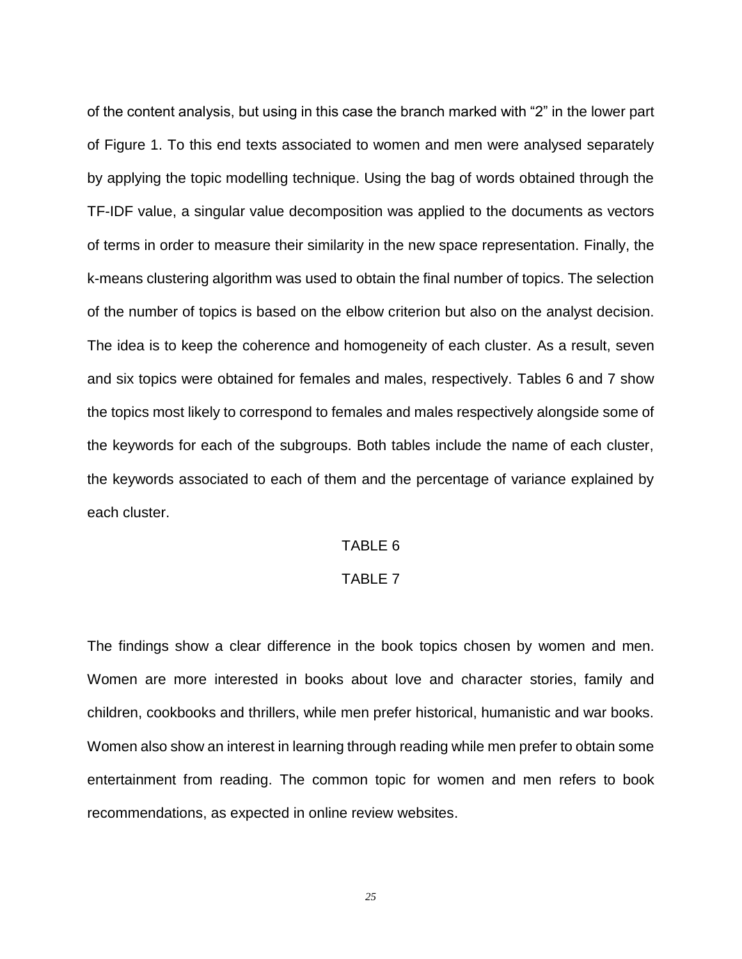of the content analysis, but using in this case the branch marked with "2" in the lower part of Figure 1. To this end texts associated to women and men were analysed separately by applying the topic modelling technique. Using the bag of words obtained through the TF-IDF value, a singular value decomposition was applied to the documents as vectors of terms in order to measure their similarity in the new space representation. Finally, the k-means clustering algorithm was used to obtain the final number of topics. The selection of the number of topics is based on the elbow criterion but also on the analyst decision. The idea is to keep the coherence and homogeneity of each cluster. As a result, seven and six topics were obtained for females and males, respectively. Tables 6 and 7 show the topics most likely to correspond to females and males respectively alongside some of the keywords for each of the subgroups. Both tables include the name of each cluster, the keywords associated to each of them and the percentage of variance explained by each cluster.

## TABLE 6

## TABLE 7

The findings show a clear difference in the book topics chosen by women and men. Women are more interested in books about love and character stories, family and children, cookbooks and thrillers, while men prefer historical, humanistic and war books. Women also show an interest in learning through reading while men prefer to obtain some entertainment from reading. The common topic for women and men refers to book recommendations, as expected in online review websites.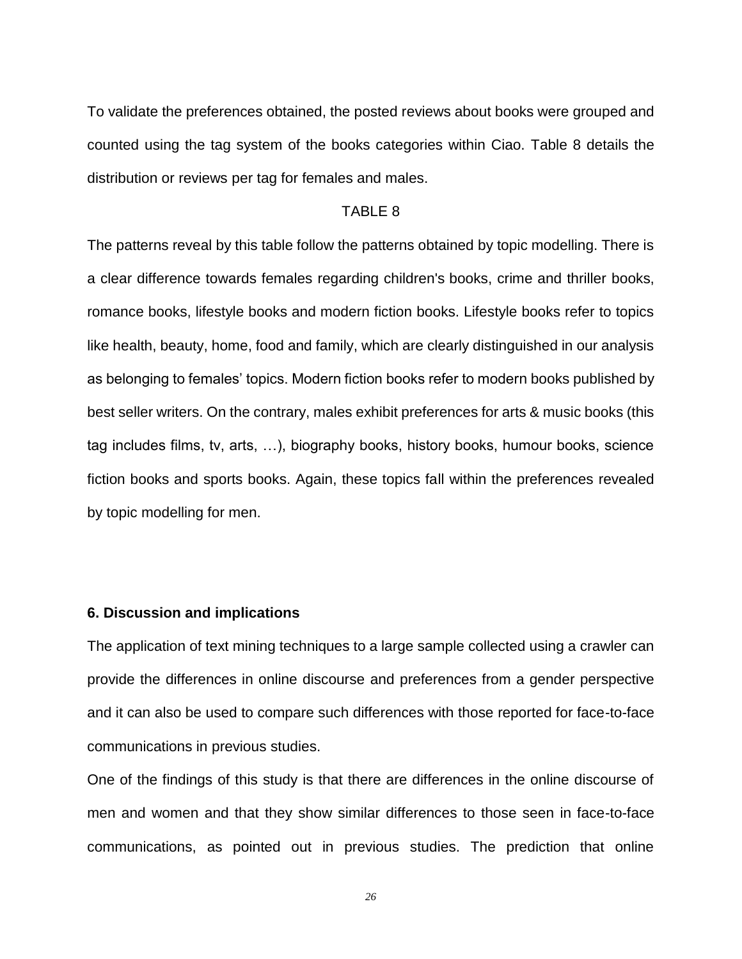To validate the preferences obtained, the posted reviews about books were grouped and counted using the tag system of the books categories within Ciao. [Table 8](#page-49-0) details the distribution or reviews per tag for females and males.

#### TABLE 8

The patterns reveal by this table follow the patterns obtained by topic modelling. There is a clear difference towards females regarding children's books, crime and thriller books, romance books, lifestyle books and modern fiction books. Lifestyle books refer to topics like health, beauty, home, food and family, which are clearly distinguished in our analysis as belonging to females' topics. Modern fiction books refer to modern books published by best seller writers. On the contrary, males exhibit preferences for arts & music books (this tag includes films, tv, arts, …), biography books, history books, humour books, science fiction books and sports books. Again, these topics fall within the preferences revealed by topic modelling for men.

## **6. Discussion and implications**

The application of text mining techniques to a large sample collected using a crawler can provide the differences in online discourse and preferences from a gender perspective and it can also be used to compare such differences with those reported for face-to-face communications in previous studies.

One of the findings of this study is that there are differences in the online discourse of men and women and that they show similar differences to those seen in face-to-face communications, as pointed out in previous studies. The prediction that online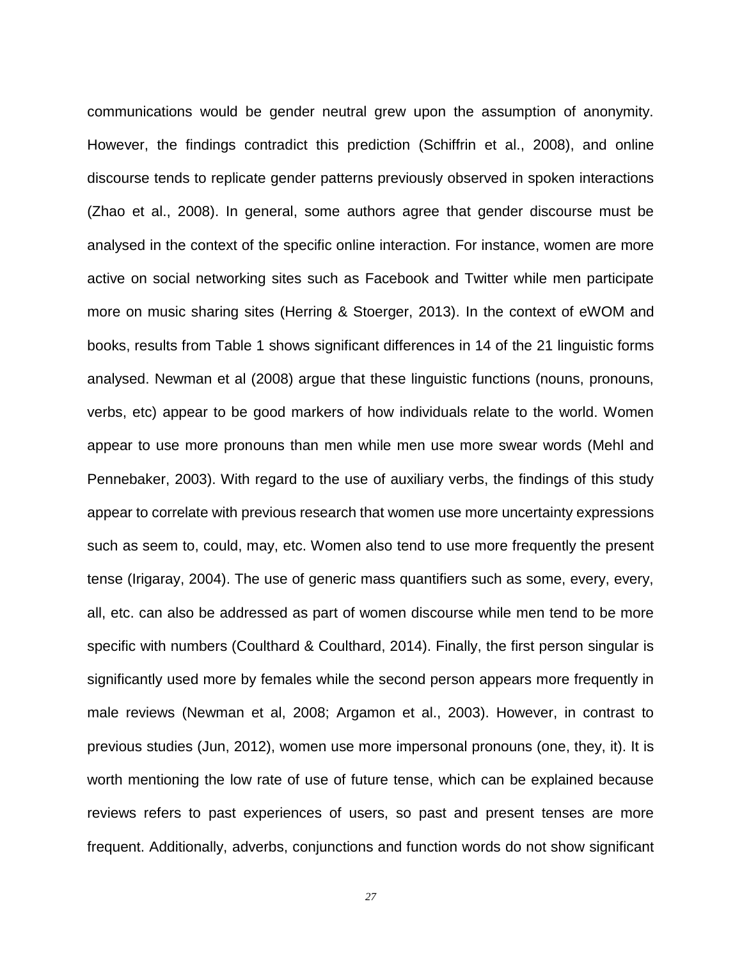communications would be gender neutral grew upon the assumption of anonymity. However, the findings contradict this prediction (Schiffrin et al., 2008), and online discourse tends to replicate gender patterns previously observed in spoken interactions (Zhao et al., 2008). In general, some authors agree that gender discourse must be analysed in the context of the specific online interaction. For instance, women are more active on social networking sites such as Facebook and Twitter while men participate more on music sharing sites (Herring & Stoerger, 2013). In the context of eWOM and books, results from Table 1 shows significant differences in 14 of the 21 linguistic forms analysed. Newman et al (2008) argue that these linguistic functions (nouns, pronouns, verbs, etc) appear to be good markers of how individuals relate to the world. Women appear to use more pronouns than men while men use more swear words (Mehl and Pennebaker, 2003). With regard to the use of auxiliary verbs, the findings of this study appear to correlate with previous research that women use more uncertainty expressions such as seem to, could, may, etc. Women also tend to use more frequently the present tense (Irigaray, 2004). The use of generic mass quantifiers such as some, every, every, all, etc. can also be addressed as part of women discourse while men tend to be more specific with numbers (Coulthard & Coulthard, 2014). Finally, the first person singular is significantly used more by females while the second person appears more frequently in male reviews (Newman et al, 2008; Argamon et al., 2003). However, in contrast to previous studies (Jun, 2012), women use more impersonal pronouns (one, they, it). It is worth mentioning the low rate of use of future tense, which can be explained because reviews refers to past experiences of users, so past and present tenses are more frequent. Additionally, adverbs, conjunctions and function words do not show significant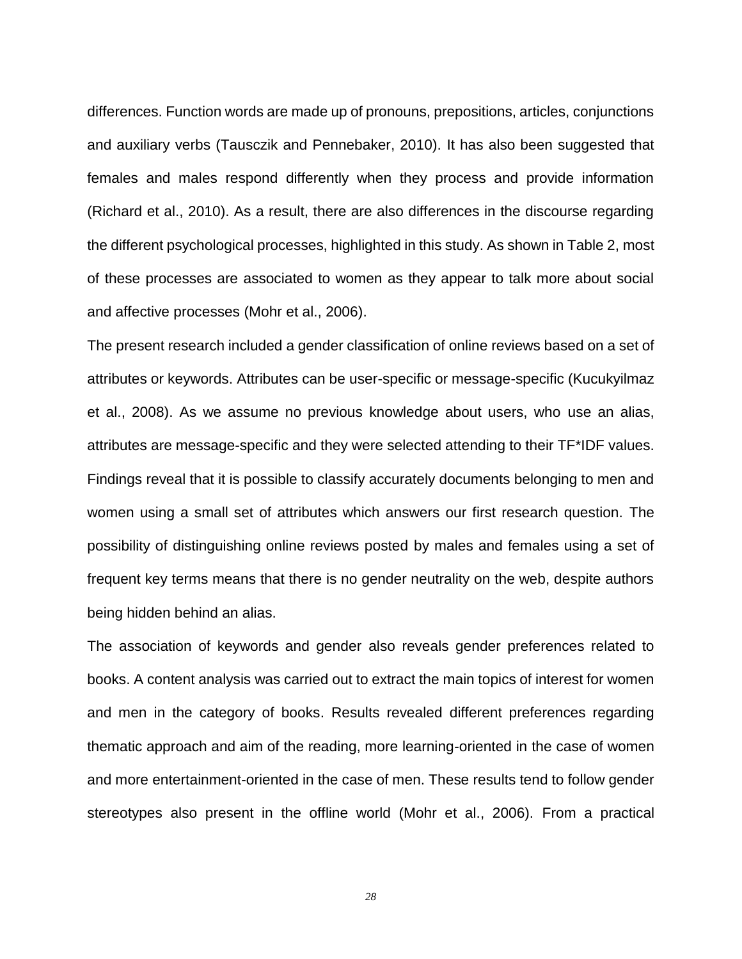differences. Function words are made up of pronouns, prepositions, articles, conjunctions and auxiliary verbs (Tausczik and Pennebaker, 2010). It has also been suggested that females and males respond differently when they process and provide information (Richard et al., 2010). As a result, there are also differences in the discourse regarding the different psychological processes, highlighted in this study. As shown in Table 2, most of these processes are associated to women as they appear to talk more about social and affective processes (Mohr et al., 2006).

The present research included a gender classification of online reviews based on a set of attributes or keywords. Attributes can be user-specific or message-specific (Kucukyilmaz et al., 2008). As we assume no previous knowledge about users, who use an alias, attributes are message-specific and they were selected attending to their TF\*IDF values. Findings reveal that it is possible to classify accurately documents belonging to men and women using a small set of attributes which answers our first research question. The possibility of distinguishing online reviews posted by males and females using a set of frequent key terms means that there is no gender neutrality on the web, despite authors being hidden behind an alias.

The association of keywords and gender also reveals gender preferences related to books. A content analysis was carried out to extract the main topics of interest for women and men in the category of books. Results revealed different preferences regarding thematic approach and aim of the reading, more learning-oriented in the case of women and more entertainment-oriented in the case of men. These results tend to follow gender stereotypes also present in the offline world (Mohr et al., 2006). From a practical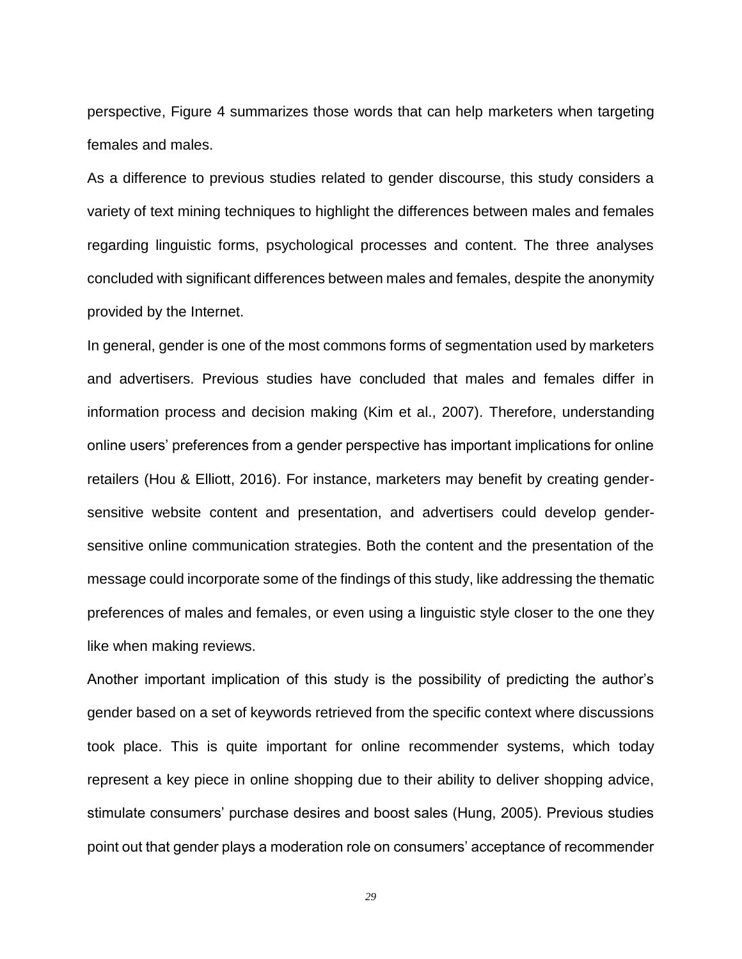perspective, [Figure 4](#page-53-0) summarizes those words that can help marketers when targeting females and males.

As a difference to previous studies related to gender discourse, this study considers a variety of text mining techniques to highlight the differences between males and females regarding linguistic forms, psychological processes and content. The three analyses concluded with significant differences between males and females, despite the anonymity provided by the Internet.

In general, gender is one of the most commons forms of segmentation used by marketers and advertisers. Previous studies have concluded that males and females differ in information process and decision making (Kim et al., 2007). Therefore, understanding online users' preferences from a gender perspective has important implications for online retailers (Hou & Elliott, 2016). For instance, marketers may benefit by creating gendersensitive website content and presentation, and advertisers could develop gendersensitive online communication strategies. Both the content and the presentation of the message could incorporate some of the findings of this study, like addressing the thematic preferences of males and females, or even using a linguistic style closer to the one they like when making reviews.

Another important implication of this study is the possibility of predicting the author's gender based on a set of keywords retrieved from the specific context where discussions took place. This is quite important for online recommender systems, which today represent a key piece in online shopping due to their ability to deliver shopping advice, stimulate consumers' purchase desires and boost sales (Hung, 2005). Previous studies point out that gender plays a moderation role on consumers' acceptance of recommender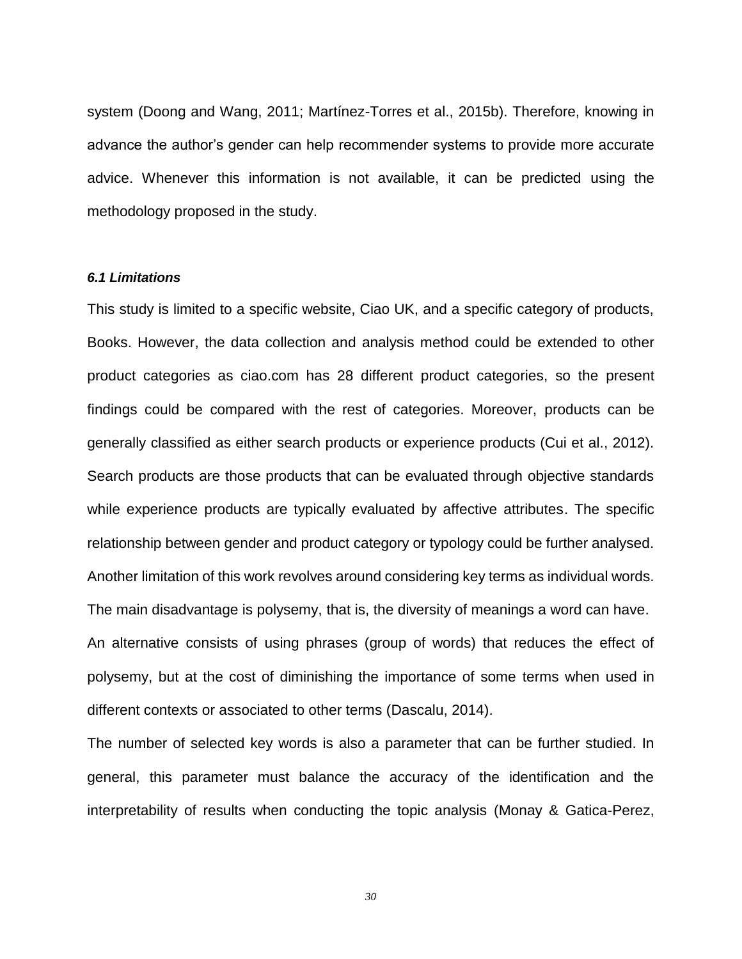system (Doong and Wang, 2011; Martínez-Torres et al., 2015b). Therefore, knowing in advance the author's gender can help recommender systems to provide more accurate advice. Whenever this information is not available, it can be predicted using the methodology proposed in the study.

#### *6.1 Limitations*

This study is limited to a specific website, Ciao UK, and a specific category of products, Books. However, the data collection and analysis method could be extended to other product categories as ciao.com has 28 different product categories, so the present findings could be compared with the rest of categories. Moreover, products can be generally classified as either search products or experience products (Cui et al., 2012). Search products are those products that can be evaluated through objective standards while experience products are typically evaluated by affective attributes. The specific relationship between gender and product category or typology could be further analysed. Another limitation of this work revolves around considering key terms as individual words. The main disadvantage is polysemy, that is, the diversity of meanings a word can have. An alternative consists of using phrases (group of words) that reduces the effect of polysemy, but at the cost of diminishing the importance of some terms when used in different contexts or associated to other terms (Dascalu, 2014).

The number of selected key words is also a parameter that can be further studied. In general, this parameter must balance the accuracy of the identification and the interpretability of results when conducting the topic analysis (Monay & Gatica-Perez,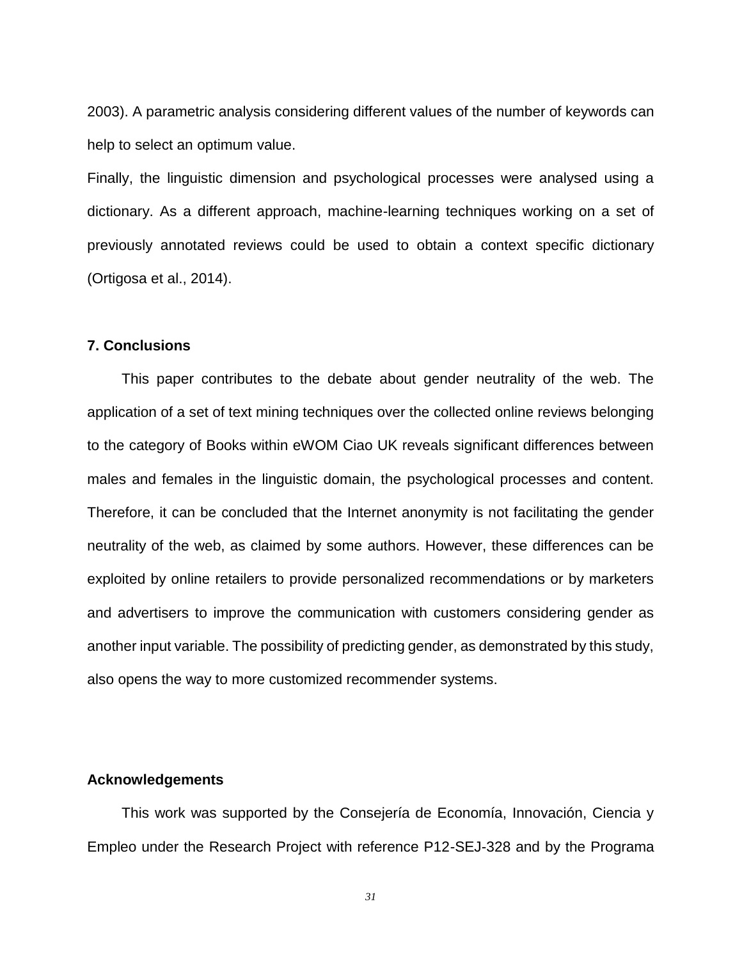2003). A parametric analysis considering different values of the number of keywords can help to select an optimum value.

Finally, the linguistic dimension and psychological processes were analysed using a dictionary. As a different approach, machine-learning techniques working on a set of previously annotated reviews could be used to obtain a context specific dictionary (Ortigosa et al., 2014).

#### **7. Conclusions**

This paper contributes to the debate about gender neutrality of the web. The application of a set of text mining techniques over the collected online reviews belonging to the category of Books within eWOM Ciao UK reveals significant differences between males and females in the linguistic domain, the psychological processes and content. Therefore, it can be concluded that the Internet anonymity is not facilitating the gender neutrality of the web, as claimed by some authors. However, these differences can be exploited by online retailers to provide personalized recommendations or by marketers and advertisers to improve the communication with customers considering gender as another input variable. The possibility of predicting gender, as demonstrated by this study, also opens the way to more customized recommender systems.

#### **Acknowledgements**

This work was supported by the Consejería de Economía, Innovación, Ciencia y Empleo under the Research Project with reference P12-SEJ-328 and by the Programa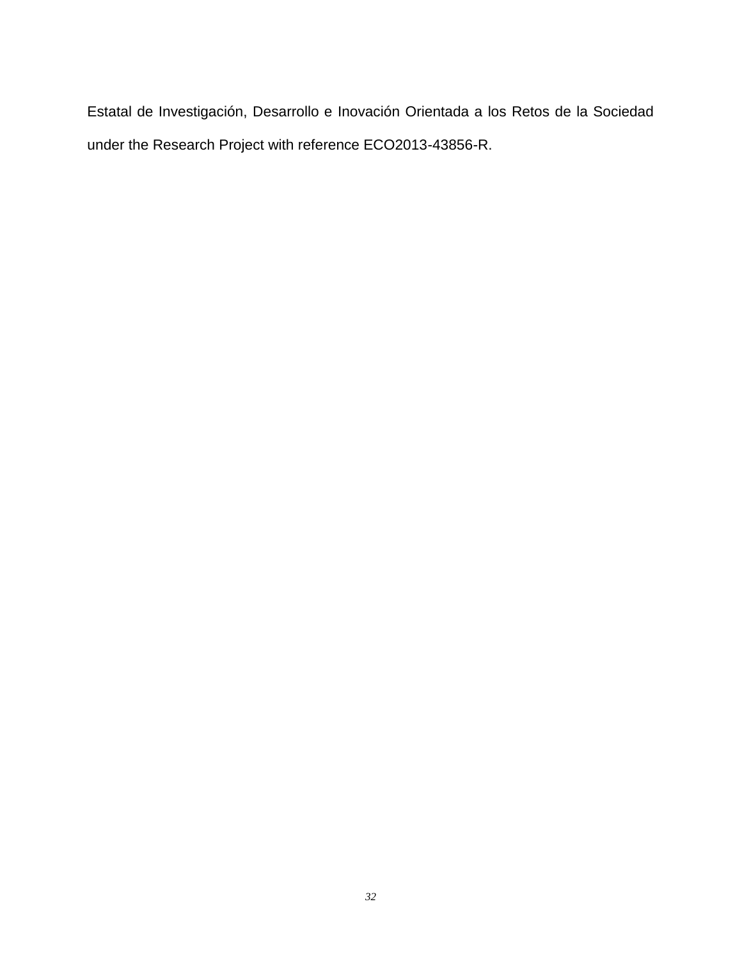Estatal de Investigación, Desarrollo e Inovación Orientada a los Retos de la Sociedad under the Research Project with reference ECO2013-43856-R.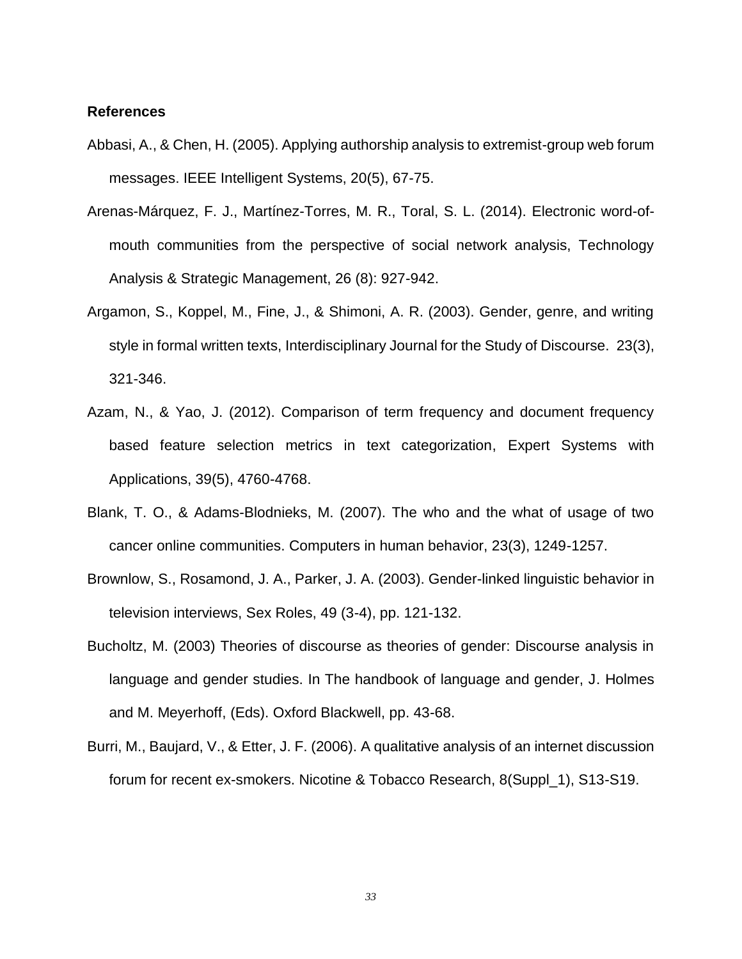#### **References**

- Abbasi, A., & Chen, H. (2005). Applying authorship analysis to extremist-group web forum messages. IEEE Intelligent Systems, 20(5), 67-75.
- Arenas-Márquez, F. J., Martínez-Torres, M. R., Toral, S. L. (2014). Electronic word-ofmouth communities from the perspective of social network analysis, Technology Analysis & Strategic Management, 26 (8): 927-942.
- Argamon, S., Koppel, M., Fine, J., & Shimoni, A. R. (2003). Gender, genre, and writing style in formal written texts, Interdisciplinary Journal for the Study of Discourse. 23(3), 321-346.
- Azam, N., & Yao, J. (2012). Comparison of term frequency and document frequency based feature selection metrics in text categorization, Expert Systems with Applications, 39(5), 4760-4768.
- Blank, T. O., & Adams-Blodnieks, M. (2007). The who and the what of usage of two cancer online communities. Computers in human behavior, 23(3), 1249-1257.
- Brownlow, S., Rosamond, J. A., Parker, J. A. (2003). Gender-linked linguistic behavior in television interviews, Sex Roles, 49 (3-4), pp. 121-132.
- Bucholtz, M. (2003) Theories of discourse as theories of gender: Discourse analysis in language and gender studies. In The handbook of language and gender, J. Holmes and M. Meyerhoff, (Eds). Oxford Blackwell, pp. 43-68.
- Burri, M., Baujard, V., & Etter, J. F. (2006). A qualitative analysis of an internet discussion forum for recent ex-smokers. Nicotine & Tobacco Research, 8(Suppl\_1), S13-S19.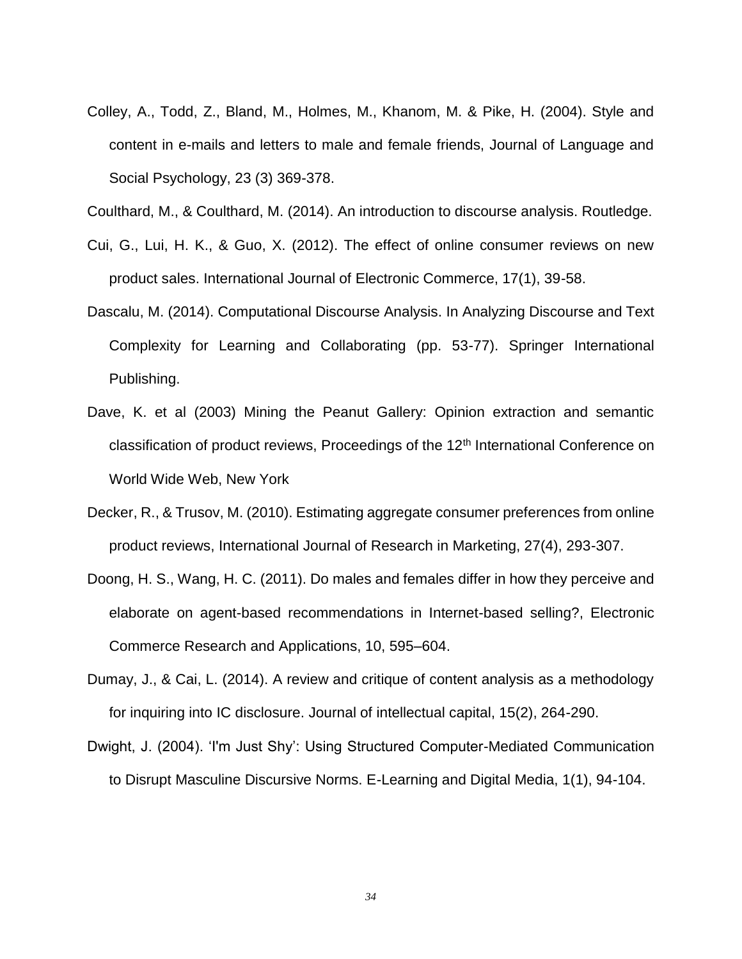Colley, A., Todd, Z., Bland, M., Holmes, M., Khanom, M. & Pike, H. (2004). Style and content in e-mails and letters to male and female friends, Journal of Language and Social Psychology, 23 (3) 369-378.

Coulthard, M., & Coulthard, M. (2014). An introduction to discourse analysis. Routledge.

- Cui, G., Lui, H. K., & Guo, X. (2012). The effect of online consumer reviews on new product sales. International Journal of Electronic Commerce, 17(1), 39-58.
- Dascalu, M. (2014). Computational Discourse Analysis. In Analyzing Discourse and Text Complexity for Learning and Collaborating (pp. 53-77). Springer International Publishing.
- Dave, K. et al (2003) Mining the Peanut Gallery: Opinion extraction and semantic classification of product reviews, Proceedings of the 12<sup>th</sup> International Conference on World Wide Web, New York
- Decker, R., & Trusov, M. (2010). Estimating aggregate consumer preferences from online product reviews, International Journal of Research in Marketing, 27(4), 293-307.
- Doong, H. S., Wang, H. C. (2011). Do males and females differ in how they perceive and elaborate on agent-based recommendations in Internet-based selling?, Electronic Commerce Research and Applications, 10, 595–604.
- Dumay, J., & Cai, L. (2014). A review and critique of content analysis as a methodology for inquiring into IC disclosure. Journal of intellectual capital, 15(2), 264-290.
- Dwight, J. (2004). 'I'm Just Shy': Using Structured Computer-Mediated Communication to Disrupt Masculine Discursive Norms. E-Learning and Digital Media, 1(1), 94-104.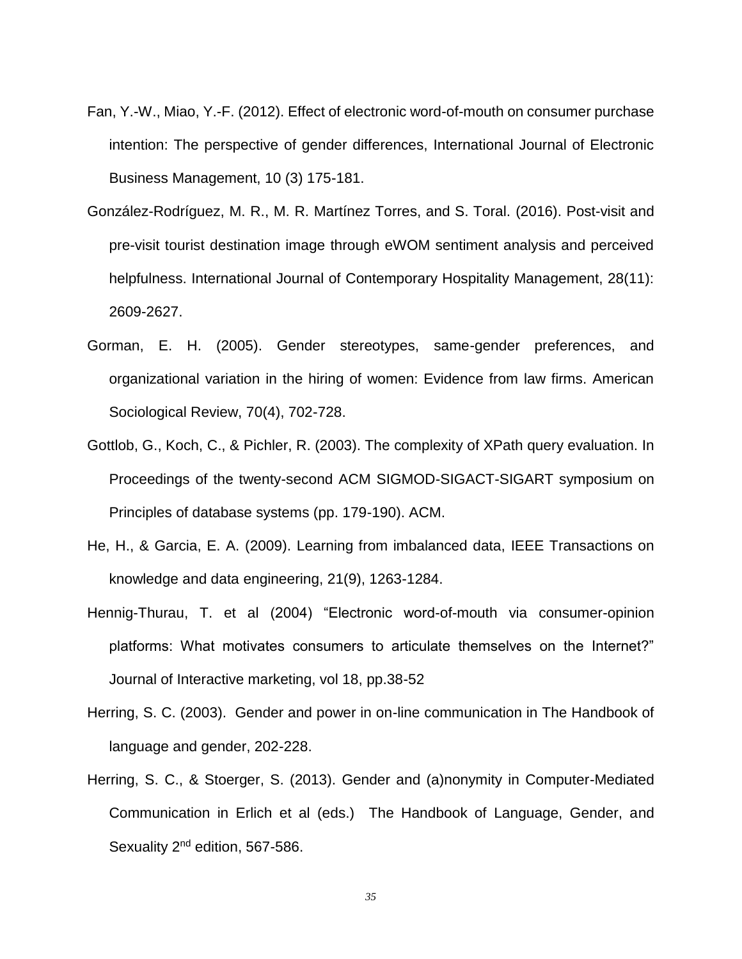- Fan, Y.-W., Miao, Y.-F. (2012). Effect of electronic word-of-mouth on consumer purchase intention: The perspective of gender differences, International Journal of Electronic Business Management, 10 (3) 175-181.
- González-Rodríguez, M. R., M. R. Martínez Torres, and S. Toral. (2016). Post-visit and pre-visit tourist destination image through eWOM sentiment analysis and perceived helpfulness. International Journal of Contemporary Hospitality Management, 28(11): 2609-2627.
- Gorman, E. H. (2005). Gender stereotypes, same-gender preferences, and organizational variation in the hiring of women: Evidence from law firms. American Sociological Review, 70(4), 702-728.
- Gottlob, G., Koch, C., & Pichler, R. (2003). The complexity of XPath query evaluation. In Proceedings of the twenty-second ACM SIGMOD-SIGACT-SIGART symposium on Principles of database systems (pp. 179-190). ACM.
- He, H., & Garcia, E. A. (2009). Learning from imbalanced data, IEEE Transactions on knowledge and data engineering, 21(9), 1263-1284.
- Hennig-Thurau, T. et al (2004) "Electronic word-of-mouth via consumer-opinion platforms: What motivates consumers to articulate themselves on the Internet?" Journal of Interactive marketing, vol 18, pp.38-52
- Herring, S. C. (2003). Gender and power in on-line communication in The Handbook of language and gender, 202-228.
- Herring, S. C., & Stoerger, S. (2013). Gender and (a)nonymity in Computer-Mediated Communication in Erlich et al (eds.) The Handbook of Language, Gender, and Sexuality 2<sup>nd</sup> edition, 567-586.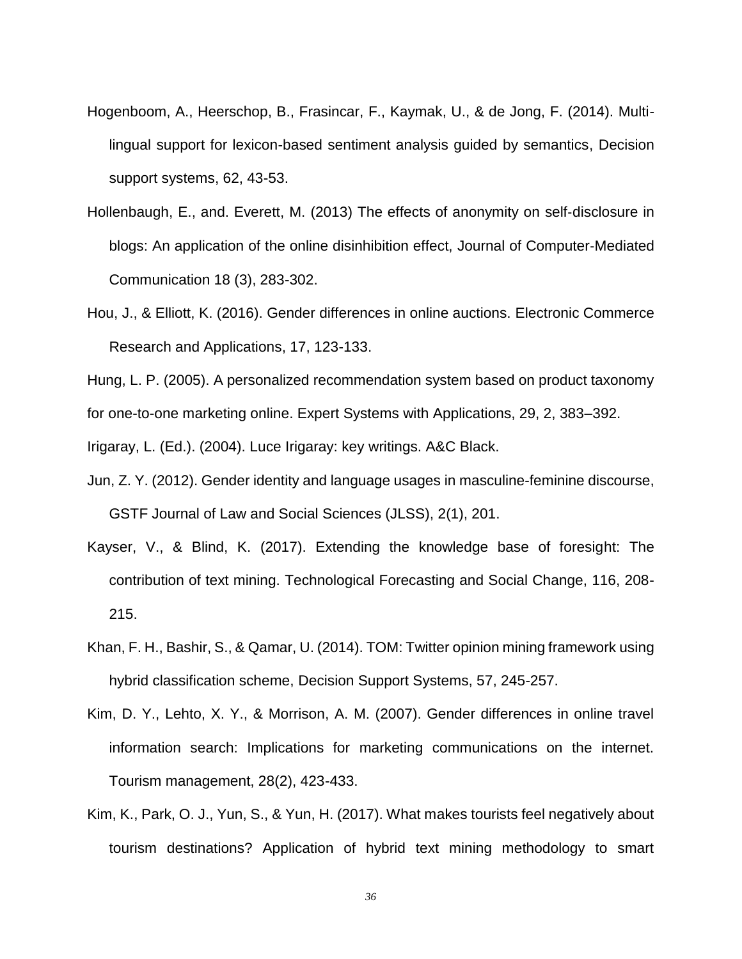- Hogenboom, A., Heerschop, B., Frasincar, F., Kaymak, U., & de Jong, F. (2014). Multilingual support for lexicon-based sentiment analysis guided by semantics, Decision support systems, 62, 43-53.
- Hollenbaugh, E., and. Everett, M. (2013) The effects of anonymity on self‐disclosure in blogs: An application of the online disinhibition effect, Journal of Computer‐Mediated Communication 18 (3), 283-302.
- Hou, J., & Elliott, K. (2016). Gender differences in online auctions. Electronic Commerce Research and Applications, 17, 123-133.
- Hung, L. P. (2005). A personalized recommendation system based on product taxonomy

for one-to-one marketing online. Expert Systems with Applications, 29, 2, 383–392.

Irigaray, L. (Ed.). (2004). Luce Irigaray: key writings. A&C Black.

- Jun, Z. Y. (2012). Gender identity and language usages in masculine-feminine discourse, GSTF Journal of Law and Social Sciences (JLSS), 2(1), 201.
- Kayser, V., & Blind, K. (2017). Extending the knowledge base of foresight: The contribution of text mining. Technological Forecasting and Social Change, 116, 208- 215.
- Khan, F. H., Bashir, S., & Qamar, U. (2014). TOM: Twitter opinion mining framework using hybrid classification scheme, Decision Support Systems, 57, 245-257.
- Kim, D. Y., Lehto, X. Y., & Morrison, A. M. (2007). Gender differences in online travel information search: Implications for marketing communications on the internet. Tourism management, 28(2), 423-433.
- Kim, K., Park, O. J., Yun, S., & Yun, H. (2017). What makes tourists feel negatively about tourism destinations? Application of hybrid text mining methodology to smart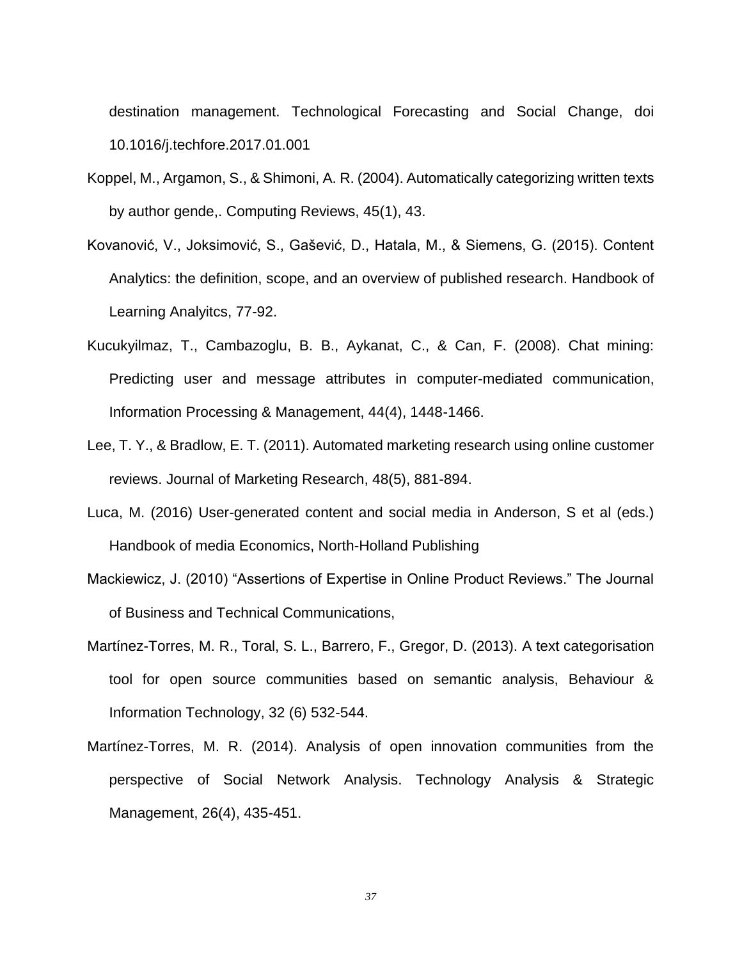destination management. Technological Forecasting and Social Change, doi 10.1016/j.techfore.2017.01.001

- Koppel, M., Argamon, S., & Shimoni, A. R. (2004). Automatically categorizing written texts by author gende,. Computing Reviews, 45(1), 43.
- Kovanović, V., Joksimović, S., Gašević, D., Hatala, M., & Siemens, G. (2015). Content Analytics: the definition, scope, and an overview of published research. Handbook of Learning Analyitcs, 77-92.
- Kucukyilmaz, T., Cambazoglu, B. B., Aykanat, C., & Can, F. (2008). Chat mining: Predicting user and message attributes in computer-mediated communication, Information Processing & Management, 44(4), 1448-1466.
- Lee, T. Y., & Bradlow, E. T. (2011). Automated marketing research using online customer reviews. Journal of Marketing Research, 48(5), 881-894.
- Luca, M. (2016) User-generated content and social media in Anderson, S et al (eds.) Handbook of media Economics, North-Holland Publishing
- Mackiewicz, J. (2010) "Assertions of Expertise in Online Product Reviews." The Journal of Business and Technical Communications,
- Martínez-Torres, M. R., Toral, S. L., Barrero, F., Gregor, D. (2013). A text categorisation tool for open source communities based on semantic analysis, Behaviour & Information Technology, 32 (6) 532-544.
- Martínez-Torres, M. R. (2014). Analysis of open innovation communities from the perspective of Social Network Analysis. Technology Analysis & Strategic Management, 26(4), 435-451.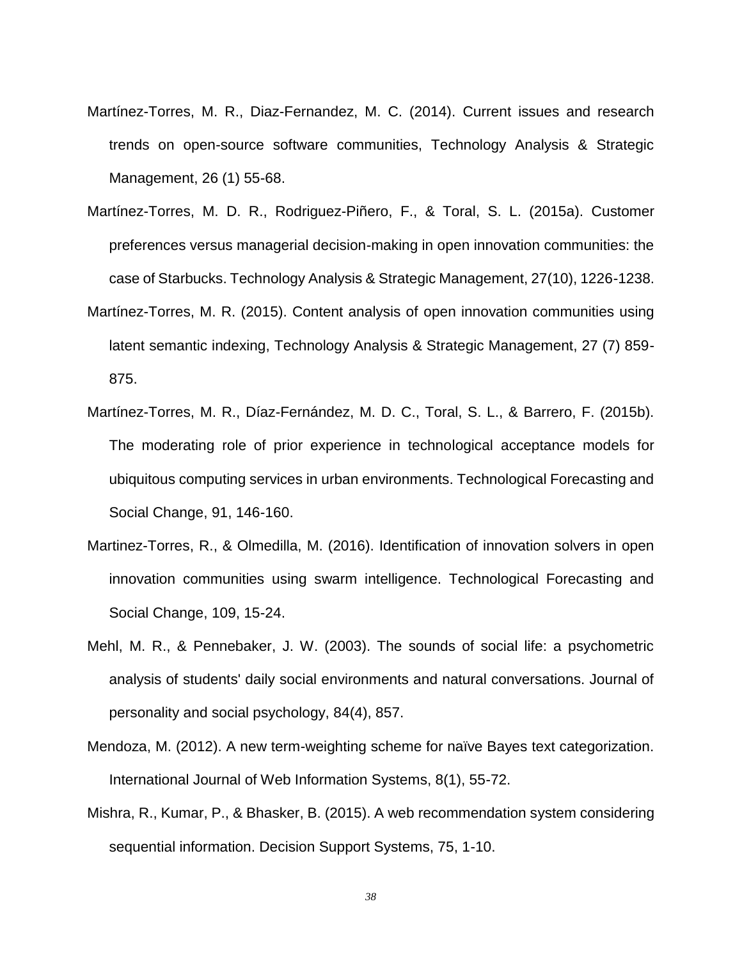- Martínez-Torres, M. R., Diaz-Fernandez, M. C. (2014). Current issues and research trends on open-source software communities, Technology Analysis & Strategic Management, 26 (1) 55-68.
- Martínez-Torres, M. D. R., Rodriguez-Piñero, F., & Toral, S. L. (2015a). Customer preferences versus managerial decision-making in open innovation communities: the case of Starbucks. Technology Analysis & Strategic Management, 27(10), 1226-1238.
- Martínez-Torres, M. R. (2015). Content analysis of open innovation communities using latent semantic indexing, Technology Analysis & Strategic Management, 27 (7) 859- 875.
- Martínez-Torres, M. R., Díaz-Fernández, M. D. C., Toral, S. L., & Barrero, F. (2015b). The moderating role of prior experience in technological acceptance models for ubiquitous computing services in urban environments. Technological Forecasting and Social Change, 91, 146-160.
- Martinez-Torres, R., & Olmedilla, M. (2016). Identification of innovation solvers in open innovation communities using swarm intelligence. Technological Forecasting and Social Change, 109, 15-24.
- Mehl, M. R., & Pennebaker, J. W. (2003). The sounds of social life: a psychometric analysis of students' daily social environments and natural conversations. Journal of personality and social psychology, 84(4), 857.
- Mendoza, M. (2012). A new term-weighting scheme for naïve Bayes text categorization. International Journal of Web Information Systems, 8(1), 55-72.
- Mishra, R., Kumar, P., & Bhasker, B. (2015). A web recommendation system considering sequential information. Decision Support Systems, 75, 1-10.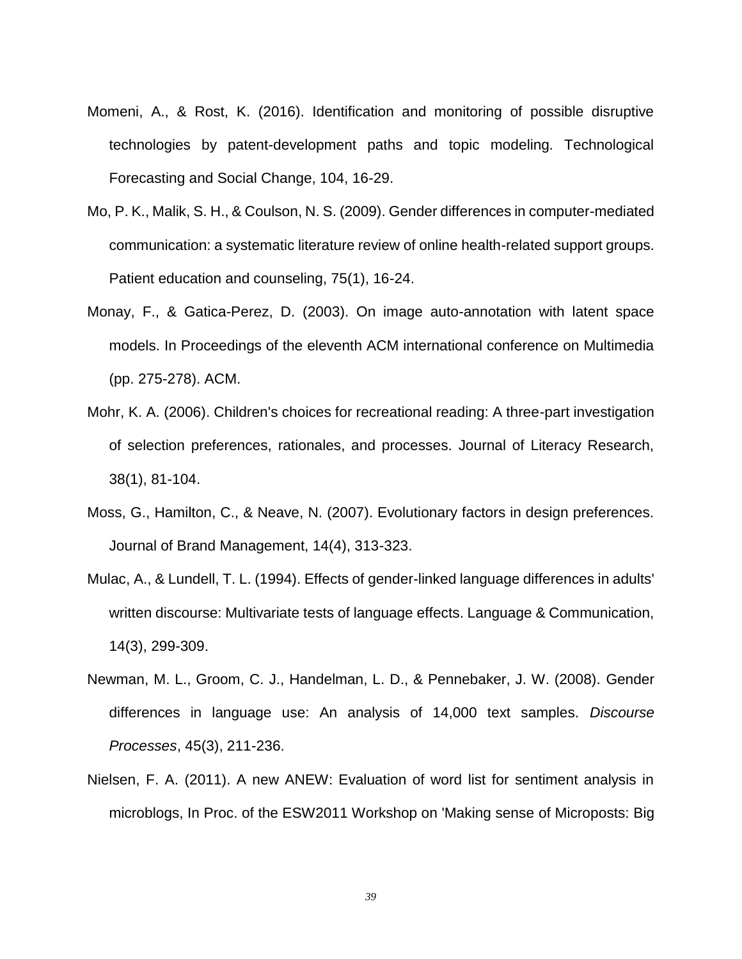- Momeni, A., & Rost, K. (2016). Identification and monitoring of possible disruptive technologies by patent-development paths and topic modeling. Technological Forecasting and Social Change, 104, 16-29.
- Mo, P. K., Malik, S. H., & Coulson, N. S. (2009). Gender differences in computer-mediated communication: a systematic literature review of online health-related support groups. Patient education and counseling, 75(1), 16-24.
- Monay, F., & Gatica-Perez, D. (2003). On image auto-annotation with latent space models. In Proceedings of the eleventh ACM international conference on Multimedia (pp. 275-278). ACM.
- Mohr, K. A. (2006). Children's choices for recreational reading: A three-part investigation of selection preferences, rationales, and processes. Journal of Literacy Research, 38(1), 81-104.
- Moss, G., Hamilton, C., & Neave, N. (2007). Evolutionary factors in design preferences. Journal of Brand Management, 14(4), 313-323.
- Mulac, A., & Lundell, T. L. (1994). Effects of gender-linked language differences in adults' written discourse: Multivariate tests of language effects. Language & Communication, 14(3), 299-309.
- Newman, M. L., Groom, C. J., Handelman, L. D., & Pennebaker, J. W. (2008). Gender differences in language use: An analysis of 14,000 text samples. *Discourse Processes*, 45(3), 211-236.
- Nielsen, F. A. (2011). A new ANEW: Evaluation of word list for sentiment analysis in microblogs, In Proc. of the ESW2011 Workshop on 'Making sense of Microposts: Big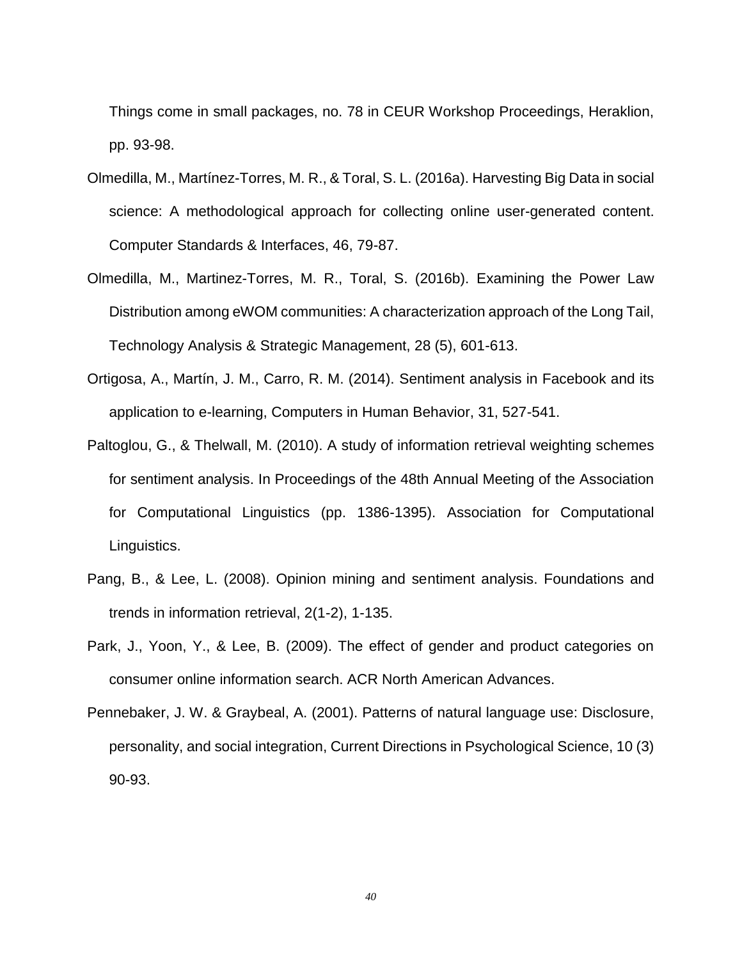Things come in small packages, no. 78 in CEUR Workshop Proceedings, Heraklion, pp. 93-98.

- Olmedilla, M., Martínez-Torres, M. R., & Toral, S. L. (2016a). Harvesting Big Data in social science: A methodological approach for collecting online user-generated content. Computer Standards & Interfaces, 46, 79-87.
- Olmedilla, M., Martinez-Torres, M. R., Toral, S. (2016b). Examining the Power Law Distribution among eWOM communities: A characterization approach of the Long Tail, Technology Analysis & Strategic Management, 28 (5), 601-613.
- Ortigosa, A., Martín, J. M., Carro, R. M. (2014). Sentiment analysis in Facebook and its application to e-learning, Computers in Human Behavior, 31, 527-541.
- Paltoglou, G., & Thelwall, M. (2010). A study of information retrieval weighting schemes for sentiment analysis. In Proceedings of the 48th Annual Meeting of the Association for Computational Linguistics (pp. 1386-1395). Association for Computational Linguistics.
- Pang, B., & Lee, L. (2008). Opinion mining and sentiment analysis. Foundations and trends in information retrieval, 2(1-2), 1-135.
- Park, J., Yoon, Y., & Lee, B. (2009). The effect of gender and product categories on consumer online information search. ACR North American Advances.
- Pennebaker, J. W. & Graybeal, A. (2001). Patterns of natural language use: Disclosure, personality, and social integration, Current Directions in Psychological Science, 10 (3) 90-93.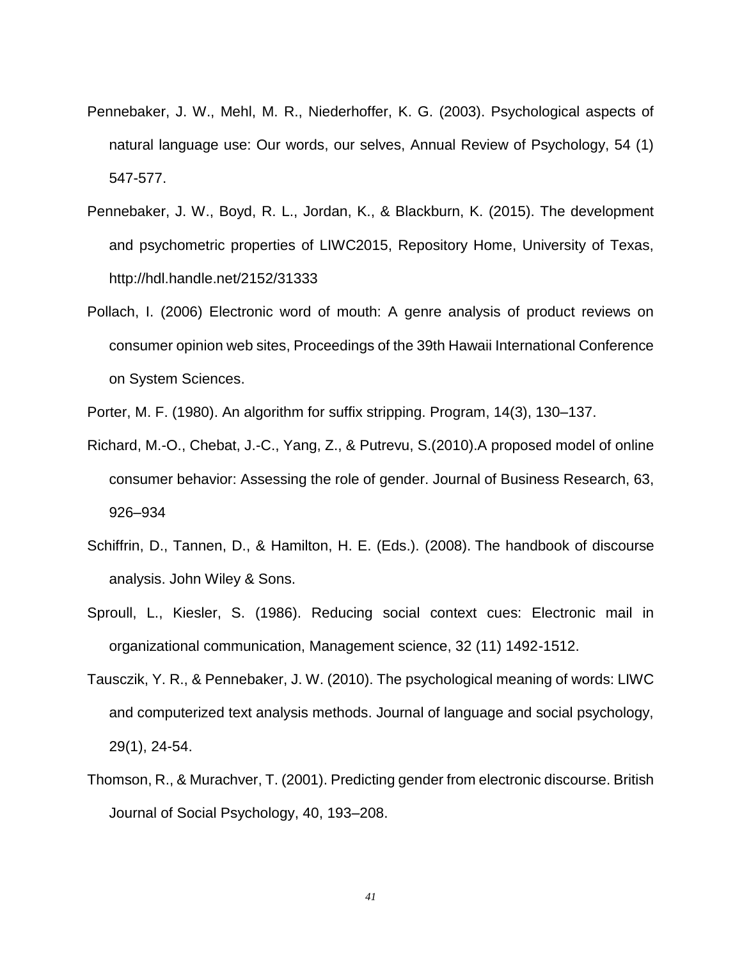- Pennebaker, J. W., Mehl, M. R., Niederhoffer, K. G. (2003). Psychological aspects of natural language use: Our words, our selves, Annual Review of Psychology, 54 (1) 547-577.
- Pennebaker, J. W., Boyd, R. L., Jordan, K., & Blackburn, K. (2015). The development and psychometric properties of LIWC2015, Repository Home, University of Texas, http://hdl.handle.net/2152/31333
- Pollach, I. (2006) Electronic word of mouth: A genre analysis of product reviews on consumer opinion web sites, Proceedings of the 39th Hawaii International Conference on System Sciences.
- Porter, M. F. (1980). An algorithm for suffix stripping. Program, 14(3), 130–137.
- Richard, M.-O., Chebat, J.-C., Yang, Z., & Putrevu, S.(2010).A proposed model of online consumer behavior: Assessing the role of gender. Journal of Business Research, 63, 926–934
- Schiffrin, D., Tannen, D., & Hamilton, H. E. (Eds.). (2008). The handbook of discourse analysis. John Wiley & Sons.
- Sproull, L., Kiesler, S. (1986). Reducing social context cues: Electronic mail in organizational communication, Management science, 32 (11) 1492-1512.
- Tausczik, Y. R., & Pennebaker, J. W. (2010). The psychological meaning of words: LIWC and computerized text analysis methods. Journal of language and social psychology, 29(1), 24-54.
- Thomson, R., & Murachver, T. (2001). Predicting gender from electronic discourse. British Journal of Social Psychology, 40, 193–208.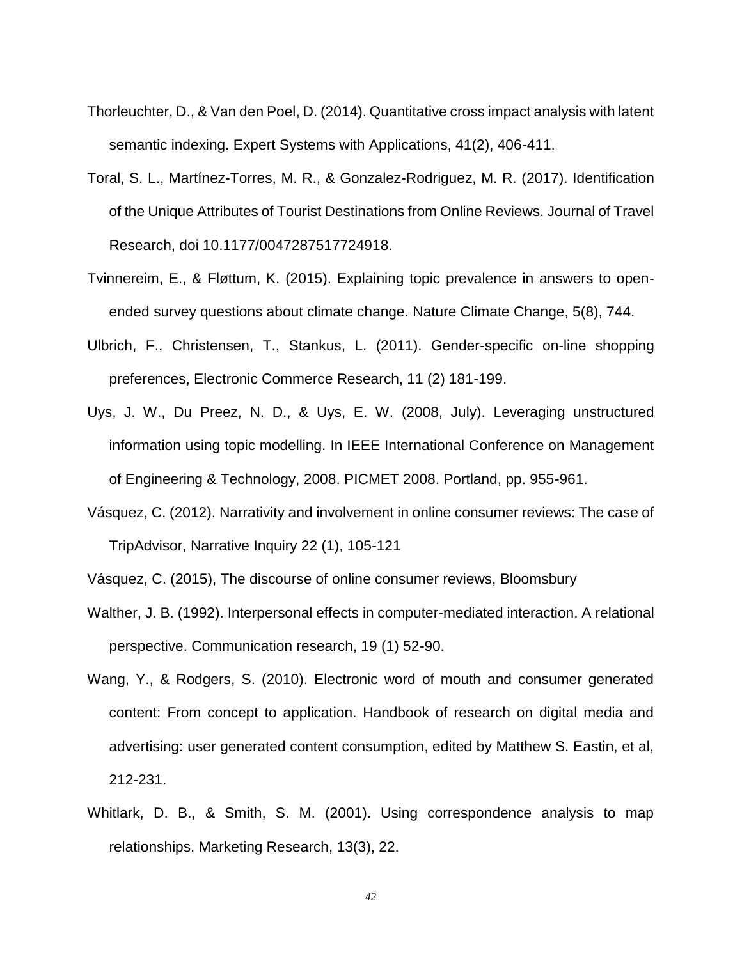- Thorleuchter, D., & Van den Poel, D. (2014). Quantitative cross impact analysis with latent semantic indexing. Expert Systems with Applications, 41(2), 406-411.
- Toral, S. L., Martínez-Torres, M. R., & Gonzalez-Rodriguez, M. R. (2017). Identification of the Unique Attributes of Tourist Destinations from Online Reviews. Journal of Travel Research, doi 10.1177/0047287517724918.
- Tvinnereim, E., & Fløttum, K. (2015). Explaining topic prevalence in answers to openended survey questions about climate change. Nature Climate Change, 5(8), 744.
- Ulbrich, F., Christensen, T., Stankus, L. (2011). Gender-specific on-line shopping preferences, Electronic Commerce Research, 11 (2) 181-199.
- Uys, J. W., Du Preez, N. D., & Uys, E. W. (2008, July). Leveraging unstructured information using topic modelling. In IEEE International Conference on Management of Engineering & Technology, 2008. PICMET 2008. Portland, pp. 955-961.
- Vásquez, C. (2012). [Narrativity and involvement in online consumer reviews: The case of](http://scholar.google.com/citations?view_op=view_citation&hl=en&user=XKAgr-oAAAAJ&citation_for_view=XKAgr-oAAAAJ:LkGwnXOMwfcC)  [TripAdvisor,](http://scholar.google.com/citations?view_op=view_citation&hl=en&user=XKAgr-oAAAAJ&citation_for_view=XKAgr-oAAAAJ:LkGwnXOMwfcC) Narrative Inquiry 22 (1), 105-121
- Vásquez, C. (2015), The discourse of online consumer reviews, Bloomsbury
- Walther, J. B. (1992). Interpersonal effects in computer-mediated interaction. A relational perspective. Communication research, 19 (1) 52-90.
- Wang, Y., & Rodgers, S. (2010). Electronic word of mouth and consumer generated content: From concept to application. Handbook of research on digital media and advertising: user generated content consumption, edited by Matthew S. Eastin, et al, 212-231.
- Whitlark, D. B., & Smith, S. M. (2001). Using correspondence analysis to map relationships. Marketing Research, 13(3), 22.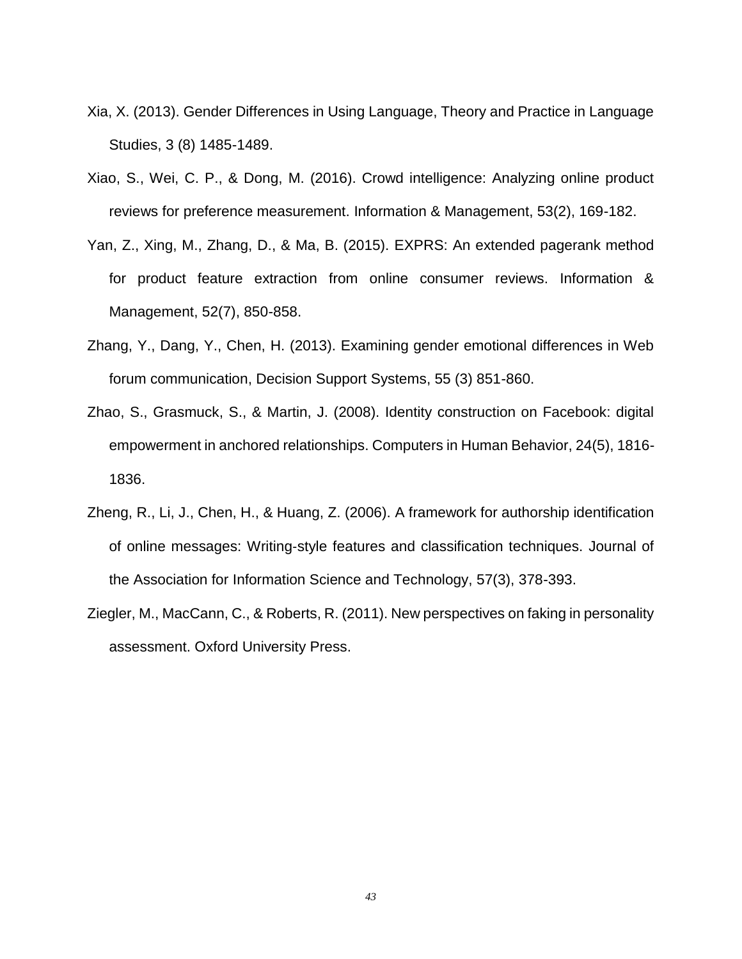- Xia, X. (2013). Gender Differences in Using Language, Theory and Practice in Language Studies, 3 (8) 1485-1489.
- Xiao, S., Wei, C. P., & Dong, M. (2016). Crowd intelligence: Analyzing online product reviews for preference measurement. Information & Management, 53(2), 169-182.
- Yan, Z., Xing, M., Zhang, D., & Ma, B. (2015). EXPRS: An extended pagerank method for product feature extraction from online consumer reviews. Information & Management, 52(7), 850-858.
- Zhang, Y., Dang, Y., Chen, H. (2013). Examining gender emotional differences in Web forum communication, Decision Support Systems, 55 (3) 851-860.
- Zhao, S., Grasmuck, S., & Martin, J. (2008). Identity construction on Facebook: digital empowerment in anchored relationships. Computers in Human Behavior, 24(5), 1816- 1836.
- Zheng, R., Li, J., Chen, H., & Huang, Z. (2006). A framework for authorship identification of online messages: Writing‐style features and classification techniques. Journal of the Association for Information Science and Technology, 57(3), 378-393.
- Ziegler, M., MacCann, C., & Roberts, R. (2011). New perspectives on faking in personality assessment. Oxford University Press.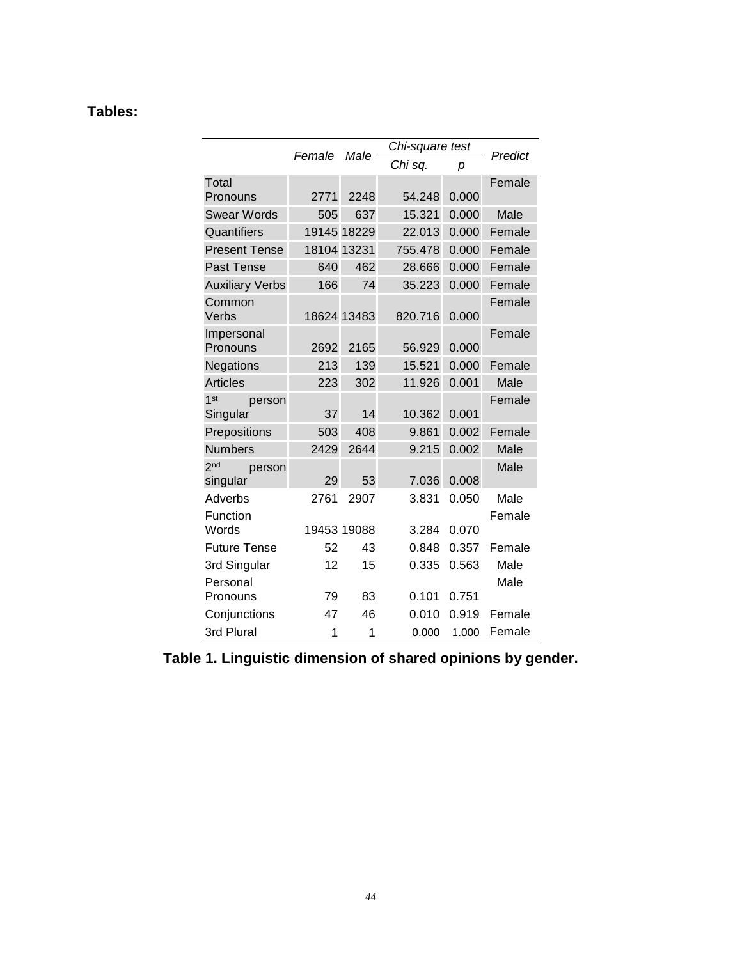## **Tables:**

|                                       |        | Male        | Chi-square test |       |                |
|---------------------------------------|--------|-------------|-----------------|-------|----------------|
|                                       | Female |             | Chi sq.         | р     | Predict        |
| Total                                 |        |             |                 |       | Female         |
| Pronouns                              | 2771   | 2248        | 54.248          | 0.000 |                |
| <b>Swear Words</b>                    | 505    | 637         | 15.321          | 0.000 | Male           |
| Quantifiers                           |        | 19145 18229 | 22.013          | 0.000 | Female         |
| <b>Present Tense</b>                  |        | 18104 13231 | 755.478         | 0.000 | Female         |
| Past Tense                            | 640    | 462         | 28.666          | 0.000 | Female         |
| <b>Auxiliary Verbs</b>                | 166    | 74          | 35.223          | 0.000 | Female         |
| Common<br>Verbs                       |        | 18624 13483 | 820.716         | 0.000 | Female         |
| Impersonal<br>Pronouns                | 2692   | 2165        | 56.929          | 0.000 | Female         |
| Negations                             | 213    | 139         | 15.521          | 0.000 | Female         |
| <b>Articles</b>                       | 223    | 302         | 11.926          | 0.001 | Male           |
| 1 <sup>st</sup><br>person<br>Singular | 37     | 14          | 10.362          | 0.001 | Female         |
| Prepositions                          | 503    | 408         | 9.861           | 0.002 | Female         |
| <b>Numbers</b>                        | 2429   | 2644        | 9.215           | 0.002 | Male           |
| 2 <sub>nd</sub><br>person<br>singular | 29     | 53          | 7.036           | 0.008 | Male           |
| Adverbs<br>Function                   | 2761   | 2907        | 3.831           | 0.050 | Male<br>Female |
| Words                                 |        | 19453 19088 | 3.284           | 0.070 |                |
| <b>Future Tense</b>                   | 52     | 43          | 0.848           | 0.357 | Female         |
| 3rd Singular                          | 12     | 15          | 0.335           | 0.563 | Male           |
| Personal                              |        |             |                 |       | Male           |
| Pronouns                              | 79     | 83          | 0.101           | 0.751 |                |
| Conjunctions                          | 47     | 46          | 0.010           | 0.919 | Female         |
| 3rd Plural                            | 1      | 1           | 0.000           | 1.000 | Female         |

**Table 1. Linguistic dimension of shared opinions by gender.**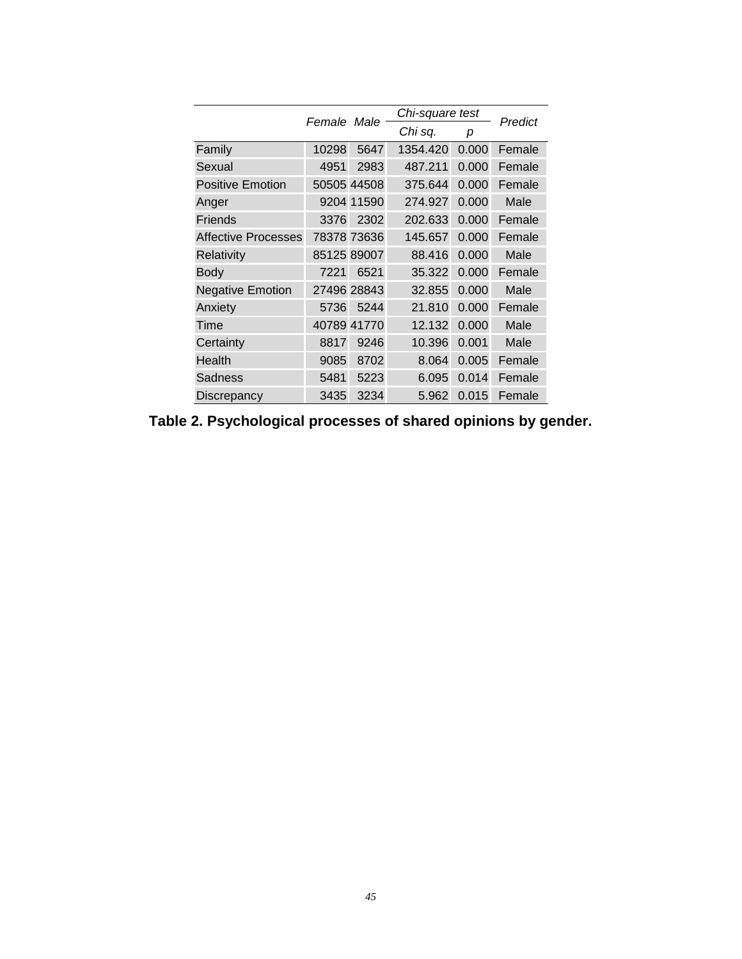|                         |             |             |          | Chi-square test |         |  |  |
|-------------------------|-------------|-------------|----------|-----------------|---------|--|--|
|                         | Female Male |             | Chi sq.  | р               | Predict |  |  |
| Family                  | 10298       | 5647        | 1354.420 | 0.000           | Female  |  |  |
| Sexual                  | 4951        | 2983        | 487.211  | 0.000           | Female  |  |  |
| <b>Positive Emotion</b> |             | 50505 44508 | 375.644  | 0.000           | Female  |  |  |
| Anger                   |             | 9204 11590  | 274.927  | 0.000           | Male    |  |  |
| <b>Friends</b>          | 3376        | 2302        | 202.633  | 0.000           | Female  |  |  |
| Affective Processes     |             | 78378 73636 | 145.657  | 0.000           | Female  |  |  |
| Relativity              |             | 85125 89007 | 88.416   | 0.000           | Male    |  |  |
| <b>Body</b>             | 7221        | 6521        | 35.322   | 0.000           | Female  |  |  |
| <b>Negative Emotion</b> |             | 27496 28843 | 32.855   | 0.000           | Male    |  |  |
| Anxiety                 | 5736        | 5244        | 21.810   | 0.000           | Female  |  |  |
| Time                    |             | 40789 41770 | 12.132   | 0.000           | Male    |  |  |
| Certainty               | 8817        | 9246        | 10.396   | 0.001           | Male    |  |  |
| Health                  | 9085        | 8702        | 8.064    | 0.005           | Female  |  |  |
| Sadness                 | 5481        | 5223        | 6.095    | 0.014           | Female  |  |  |
| <b>Discrepancy</b>      | 3435        | 3234        | 5.962    | 0.015           | Female  |  |  |

**Table 2. Psychological processes of shared opinions by gender.**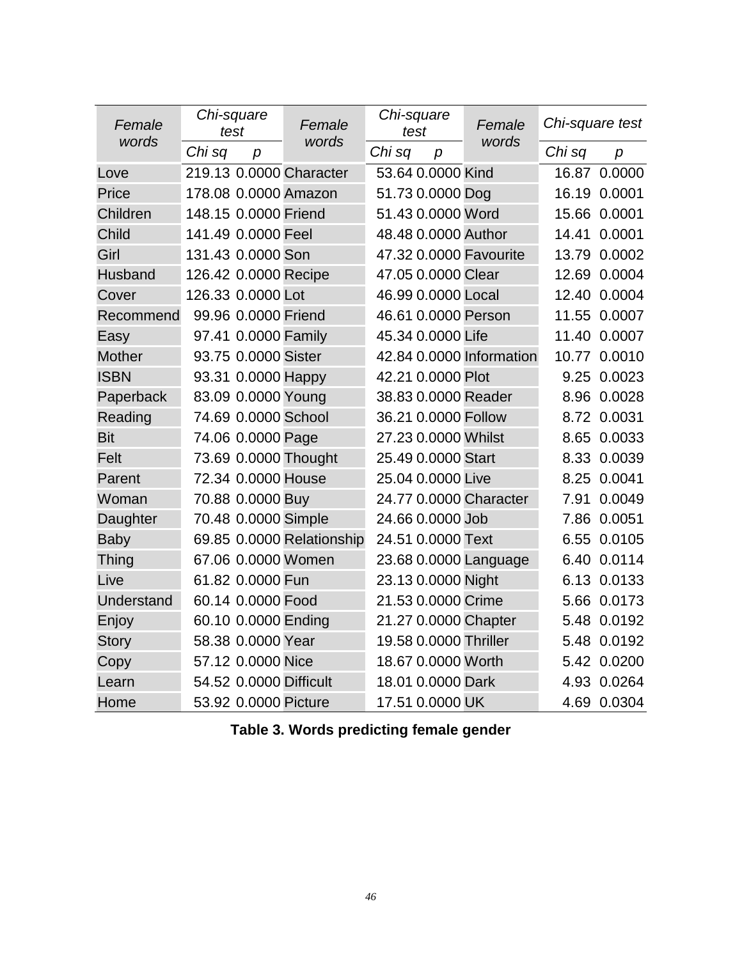| Female        | Chi-square<br>test |                      | Female                    | Chi-square<br>test    |                  | Female                   | Chi-square test |              |  |
|---------------|--------------------|----------------------|---------------------------|-----------------------|------------------|--------------------------|-----------------|--------------|--|
| words         | Chi sq             | $\boldsymbol{p}$     | words                     | Chi sq                | $\boldsymbol{p}$ | words                    | Chi sq          | p            |  |
| Love          |                    |                      | 219.13 0.0000 Character   | 53.64 0.0000 Kind     |                  |                          |                 | 16.87 0.0000 |  |
| Price         |                    |                      | 178.08 0.0000 Amazon      | 51.73 0.0000 Dog      |                  |                          |                 | 16.19 0.0001 |  |
| Children      |                    | 148.15 0.0000 Friend |                           | 51.43 0.0000 Word     |                  |                          |                 | 15.66 0.0001 |  |
| Child         |                    | 141.49 0.0000 Feel   |                           | 48.48 0.0000 Author   |                  |                          |                 | 14.41 0.0001 |  |
| Girl          |                    | 131.43 0.0000 Son    |                           |                       |                  | 47.32 0.0000 Favourite   |                 | 13.79 0.0002 |  |
| Husband       |                    | 126.42 0.0000 Recipe |                           | 47.05 0.0000 Clear    |                  |                          |                 | 12.69 0.0004 |  |
| Cover         |                    | 126.33 0.0000 Lot    |                           | 46.99 0.0000 Local    |                  |                          |                 | 12.40 0.0004 |  |
| Recommend     |                    | 99.96 0.0000 Friend  |                           | 46.61 0.0000 Person   |                  |                          |                 | 11.55 0.0007 |  |
| Easy          |                    | 97.41 0.0000 Family  |                           | 45.34 0.0000 Life     |                  |                          |                 | 11.40 0.0007 |  |
| <b>Mother</b> |                    | 93.75 0.0000 Sister  |                           |                       |                  | 42.84 0.0000 Information |                 | 10.77 0.0010 |  |
| <b>ISBN</b>   |                    | 93.31 0.0000 Happy   |                           | 42.21 0.0000 Plot     |                  |                          |                 | 9.25 0.0023  |  |
| Paperback     |                    | 83.09 0.0000 Young   |                           | 38.83 0.0000 Reader   |                  |                          |                 | 8.96 0.0028  |  |
| Reading       |                    | 74.69 0.0000 School  |                           | 36.21 0.0000 Follow   |                  |                          |                 | 8.72 0.0031  |  |
| <b>Bit</b>    |                    | 74.06 0.0000 Page    |                           | 27.23 0.0000 Whilst   |                  |                          |                 | 8.65 0.0033  |  |
| Felt          |                    |                      | 73.69 0.0000 Thought      | 25.49 0.0000 Start    |                  |                          |                 | 8.33 0.0039  |  |
| Parent        |                    | 72.34 0.0000 House   |                           | 25.04 0.0000 Live     |                  |                          |                 | 8.25 0.0041  |  |
| Woman         |                    | 70.88 0.0000 Buy     |                           |                       |                  | 24.77 0.0000 Character   |                 | 7.91 0.0049  |  |
| Daughter      |                    | 70.48 0.0000 Simple  |                           | 24.66 0.0000 Job      |                  |                          |                 | 7.86 0.0051  |  |
| <b>Baby</b>   |                    |                      | 69.85 0.0000 Relationship | 24.51 0.0000 Text     |                  |                          |                 | 6.55 0.0105  |  |
| <b>Thing</b>  |                    |                      | 67.06 0.0000 Women        |                       |                  | 23.68 0.0000 Language    |                 | 6.40 0.0114  |  |
| Live          |                    | 61.82 0.0000 Fun     |                           | 23.13 0.0000 Night    |                  |                          |                 | 6.13 0.0133  |  |
| Understand    |                    | 60.14 0.0000 Food    |                           | 21.53 0.0000 Crime    |                  |                          |                 | 5.66 0.0173  |  |
| Enjoy         |                    | 60.10 0.0000 Ending  |                           | 21.27 0.0000 Chapter  |                  |                          |                 | 5.48 0.0192  |  |
| <b>Story</b>  |                    | 58.38 0.0000 Year    |                           | 19.58 0.0000 Thriller |                  |                          |                 | 5.48 0.0192  |  |
| Copy          |                    | 57.12 0.0000 Nice    |                           | 18.67 0.0000 Worth    |                  |                          |                 | 5.42 0.0200  |  |
| Learn         |                    |                      | 54.52 0.0000 Difficult    | 18.01 0.0000 Dark     |                  |                          |                 | 4.93 0.0264  |  |
| Home          |                    | 53.92 0.0000 Picture |                           | 17.51 0.0000 UK       |                  |                          |                 | 4.69 0.0304  |  |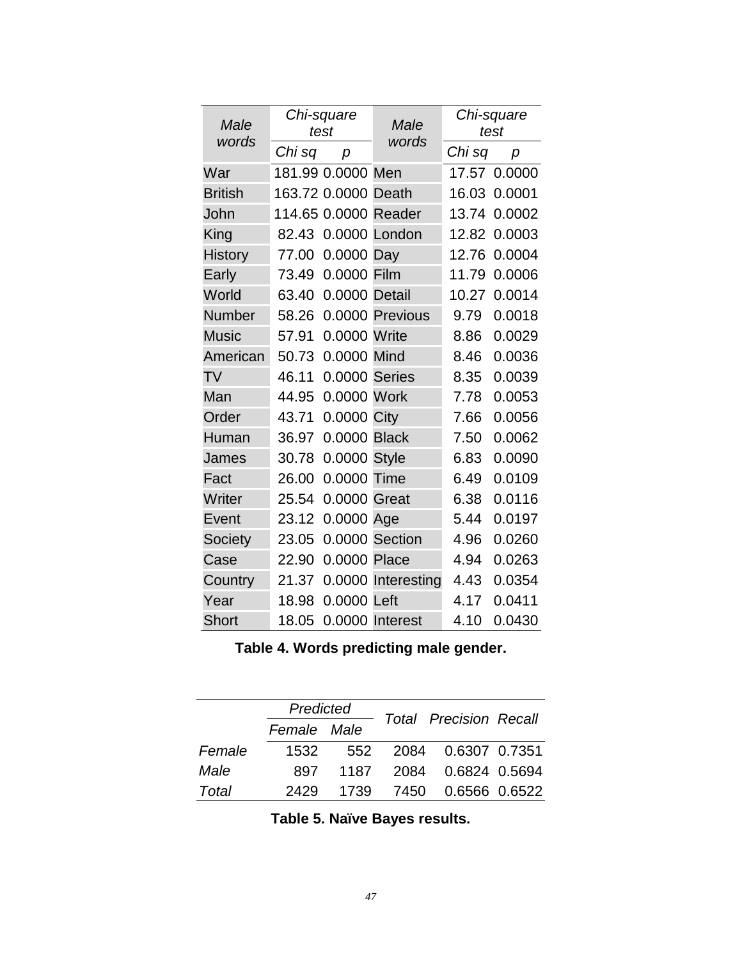| Male<br>words  |        | Chi-square<br>test  | Male<br>words        | Chi-square<br>test |        |  |
|----------------|--------|---------------------|----------------------|--------------------|--------|--|
|                | Chi sq | р                   |                      | Chi sq             | р      |  |
| War            |        | 181.99 0.0000 Men   |                      | 17.57              | 0.0000 |  |
| <b>British</b> |        | 163.72 0.0000 Death |                      | 16.03              | 0.0001 |  |
| John           |        |                     | 114.65 0.0000 Reader | 13.74              | 0.0002 |  |
| King           | 82.43  |                     | 0.0000 London        | 12.82              | 0.0003 |  |
| <b>History</b> | 77.00  | 0.0000 Day          |                      | 12.76              | 0.0004 |  |
| Early          | 73.49  | 0.0000              | Film                 | 11.79              | 0.0006 |  |
| World          | 63.40  | 0.0000 Detail       |                      | 10.27              | 0.0014 |  |
| <b>Number</b>  | 58.26  |                     | 0.0000 Previous      | 9.79               | 0.0018 |  |
| <b>Music</b>   | 57.91  | 0.0000 Write        |                      | 8.86               | 0.0029 |  |
| American       | 50.73  | 0.0000 Mind         |                      | 8.46               | 0.0036 |  |
| <b>TV</b>      | 46.11  | 0.0000 Series       |                      | 8.35               | 0.0039 |  |
| Man            | 44.95  | 0.0000 Work         |                      | 7.78               | 0.0053 |  |
| Order          | 43.71  | 0.0000 City         |                      | 7.66               | 0.0056 |  |
| Human          | 36.97  | 0.0000 Black        |                      | 7.50               | 0.0062 |  |
| James          | 30.78  | 0.0000 Style        |                      | 6.83               | 0.0090 |  |
| Fact           | 26.00  | 0.0000 Time         |                      | 6.49               | 0.0109 |  |
| Writer         | 25.54  | 0.0000 Great        |                      | 6.38               | 0.0116 |  |
| Event          | 23.12  | 0.0000 Age          |                      | 5.44               | 0.0197 |  |
| Society        | 23.05  |                     | 0.0000 Section       | 4.96               | 0.0260 |  |
| Case           | 22.90  | 0.0000 Place        |                      | 4.94               | 0.0263 |  |
| Country        | 21.37  |                     | 0.0000 Interesting   | 4.43               | 0.0354 |  |
| Year           | 18.98  | 0.0000 Left         |                      | 4.17               | 0.0411 |  |
| <b>Short</b>   | 18.05  |                     | 0.0000 Interest      | 4.10               | 0.0430 |  |

**Table 4. Words predicting male gender.**

<span id="page-47-0"></span>

|        | Predicted   |      |                               |  |  |
|--------|-------------|------|-------------------------------|--|--|
|        | Female Male |      | <b>Total Precision Recall</b> |  |  |
| Female | 1532        |      | 552 2084 0.6307 0.7351        |  |  |
| Male   | 897         |      | 1187 2084 0.6824 0.5694       |  |  |
| Total  | 2429        | 1739 | 7450   0.6566   0.6522        |  |  |

**Table 5. Naïve Bayes results.**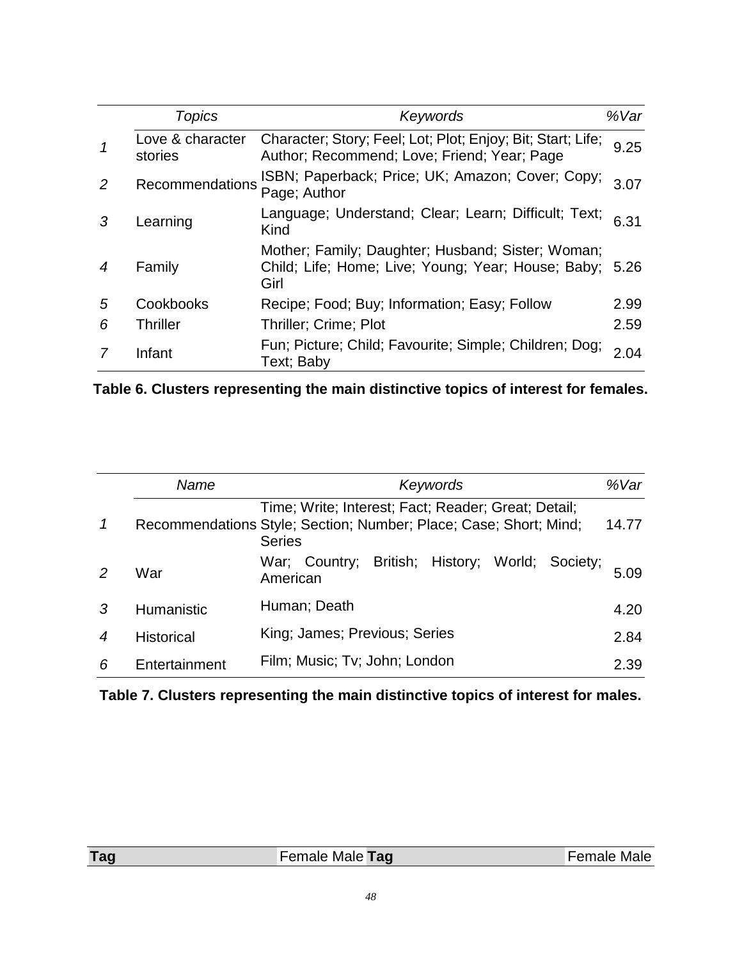|   | Topics                      | Keywords                                                                                                        | %Var |
|---|-----------------------------|-----------------------------------------------------------------------------------------------------------------|------|
|   | Love & character<br>stories | Character; Story; Feel; Lot; Plot; Enjoy; Bit; Start; Life;<br>Author; Recommend; Love; Friend; Year; Page      | 9.25 |
| 2 | Recommendations             | ISBN; Paperback; Price; UK; Amazon; Cover; Copy;<br>Page; Author                                                | 3.07 |
| 3 | Learning                    | Language; Understand; Clear; Learn; Difficult; Text;<br>Kind                                                    | 6.31 |
|   | Family                      | Mother; Family; Daughter; Husband; Sister; Woman;<br>Child; Life; Home; Live; Young; Year; House; Baby;<br>Girl | 5.26 |
| 5 | Cookbooks                   | Recipe; Food; Buy; Information; Easy; Follow                                                                    | 2.99 |
| 6 | <b>Thriller</b>             | <b>Thriller: Crime: Plot</b>                                                                                    | 2.59 |
|   | Infant                      | Fun; Picture; Child; Favourite; Simple; Children; Dog;<br>Text; Baby                                            | 2.04 |

**Table 6. Clusters representing the main distinctive topics of interest for females.**

|                  | Name              | Keywords                                                                                                                                  | %Var  |  |  |  |
|------------------|-------------------|-------------------------------------------------------------------------------------------------------------------------------------------|-------|--|--|--|
|                  |                   | Time; Write; Interest; Fact; Reader; Great; Detail;<br>Recommendations Style; Section; Number; Place; Case; Short; Mind;<br><b>Series</b> | 14.77 |  |  |  |
| 2                | War               | British; History; World; Society;<br>War; Country;<br>American                                                                            | 5.09  |  |  |  |
| 3                | Humanistic        | Human; Death                                                                                                                              | 4.20  |  |  |  |
| $\boldsymbol{4}$ | <b>Historical</b> | King; James; Previous; Series                                                                                                             |       |  |  |  |
| 6                | Entertainment     | Film; Music; Tv; John; London                                                                                                             | 2.39  |  |  |  |

**Table 7. Clusters representing the main distinctive topics of interest for males.**

| Tag | Female Male Tag | <sup>-</sup> emale Male |
|-----|-----------------|-------------------------|
|     |                 |                         |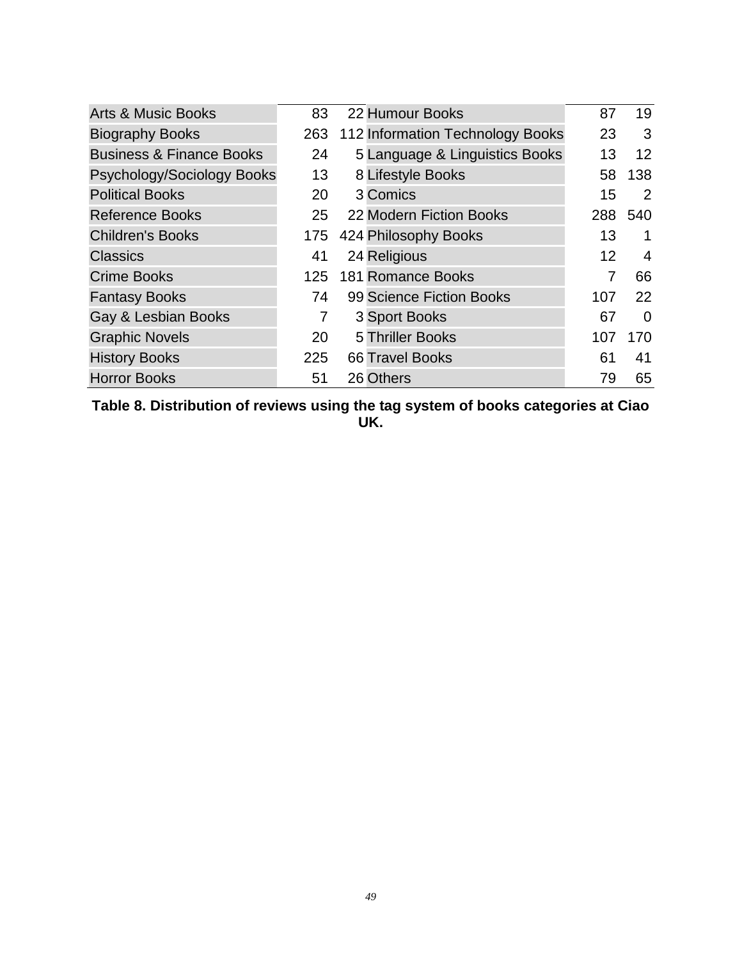| <b>Arts &amp; Music Books</b>       | 83  | 22 Humour Books                  | 87  | 19                |
|-------------------------------------|-----|----------------------------------|-----|-------------------|
| <b>Biography Books</b>              | 263 | 112 Information Technology Books | 23  | 3                 |
| <b>Business &amp; Finance Books</b> | 24  | 5 Language & Linguistics Books   | 13  | $12 \overline{ }$ |
| Psychology/Sociology Books          | 13  | 8 Lifestyle Books                | 58  | 138               |
| <b>Political Books</b>              | 20  | 3 Comics                         | 15  | 2                 |
| <b>Reference Books</b>              | 25  | 22 Modern Fiction Books          | 288 | 540               |
| <b>Children's Books</b>             | 175 | 424 Philosophy Books             | 13  | 1                 |
| <b>Classics</b>                     | 41  | 24 Religious                     | 12  | 4                 |
| <b>Crime Books</b>                  | 125 | <b>181 Romance Books</b>         |     | 66                |
| <b>Fantasy Books</b>                | 74  | 99 Science Fiction Books         | 107 | 22                |
| Gay & Lesbian Books                 | 7   | 3 Sport Books                    | 67  | $\Omega$          |
| <b>Graphic Novels</b>               | 20  | 5 Thriller Books                 | 107 | 170               |
| <b>History Books</b>                | 225 | <b>66 Travel Books</b>           | 61  | 41                |
| <b>Horror Books</b>                 | 51  | 26 Others                        | 79  | 65                |

<span id="page-49-0"></span>**Table 8. Distribution of reviews using the tag system of books categories at Ciao UK.**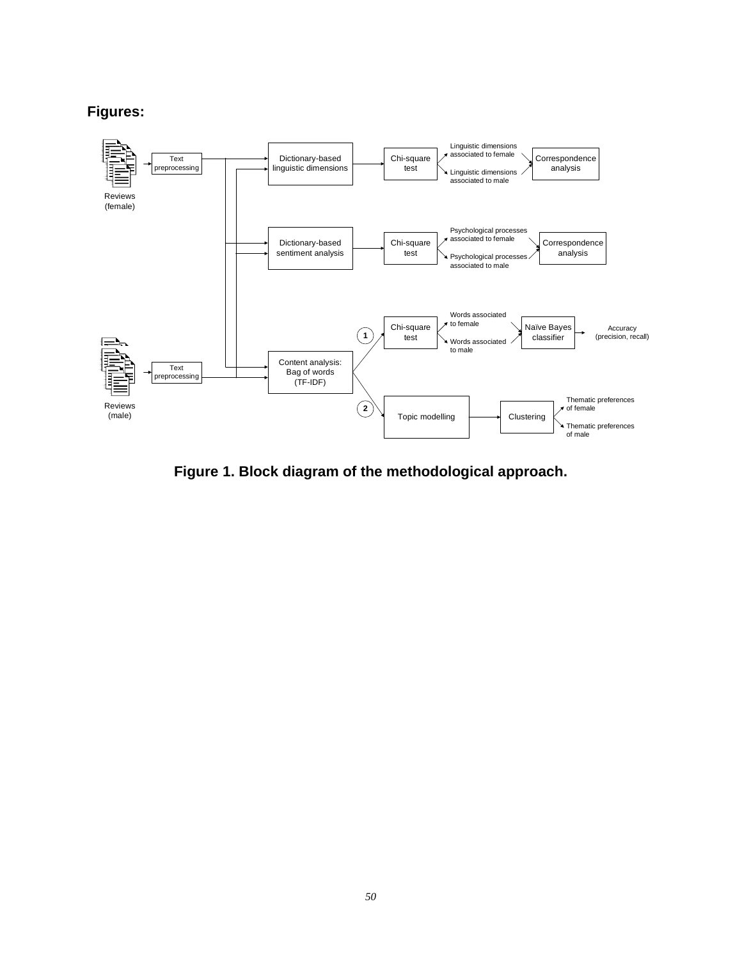## **Figures:**



<span id="page-50-0"></span>**Figure 1. Block diagram of the methodological approach.**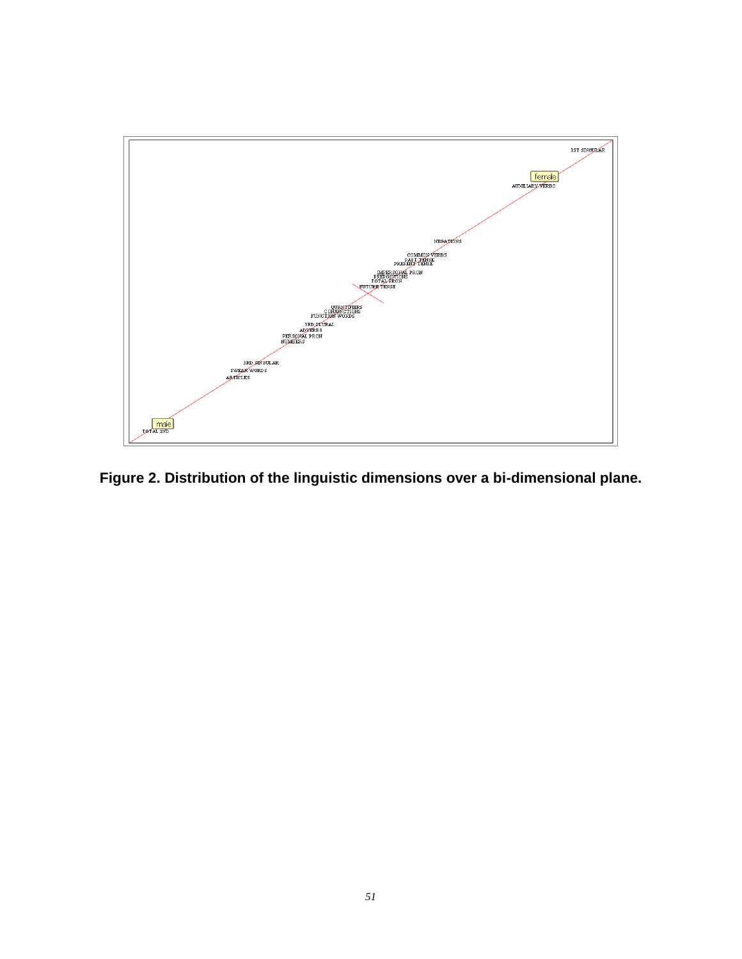

<span id="page-51-0"></span>**Figure 2. Distribution of the linguistic dimensions over a bi-dimensional plane.**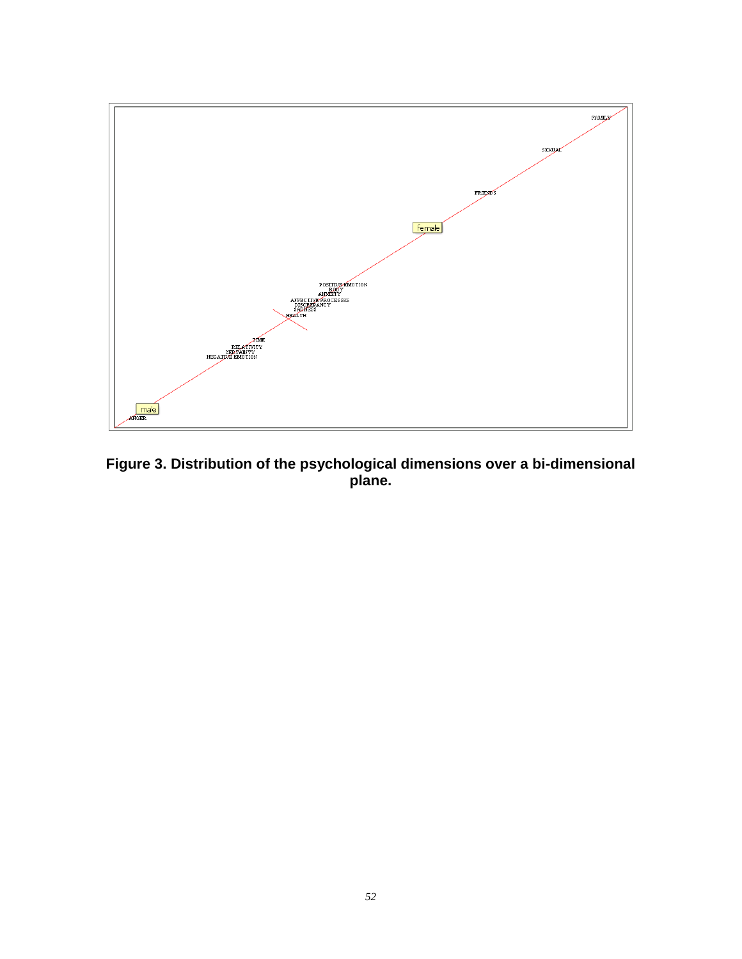

<span id="page-52-0"></span>**Figure 3. Distribution of the psychological dimensions over a bi-dimensional plane.**